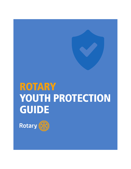# ROTARY YOUTH PROTECTION GUIDE

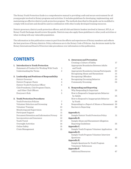The Rotary Youth Protection Guide is a comprehensive manual to providing a safe and secure environment for all young people involved in Rotary programs and activities. It includes guidelines for developing, implementing, and maintaining an effective district youth protection program. The methods described in this guide can be modified to comply with local laws and should be used in combination with other locally developed training resources.

District governors, district youth protection officers, and all club and district leaders involved in Interact, RYLA, or Rotary Youth Exchange should review this guide. Districts may also apply these guidelines to other youth activities or when working with any vulnerable population.

The information in this publication comes in part from the efforts and experiences of Rotary members and reflects the best practices of Rotary districts. Policy references are to the Rotary Code of Policies. Any decisions made by the Rotary International Board of Directors take precedence over information in this publication.

# **CONTENTS**

| 1. Introduction to Youth Protection           |                |
|-----------------------------------------------|----------------|
| Statement of Conduct for Working With Youth   | 1              |
| Understanding the Terms                       | $\overline{c}$ |
| 2. Leadership and Positions of Responsibility |                |
| District Governor                             | 4              |
| District Program Chairs                       | 4              |
| District Youth Protection Officer             | 5              |
| Club Presidents, Club Program Chairs,         |                |
| and Other Club Officers                       | 5              |
| Everyone's Role                               | 5              |
| 3. Youth Protection Procedures                |                |
| <b>Youth Protection Policies</b>              | 7              |
| Volunteer Selection and Screening             | 8              |
| Volunteer Training                            | 10             |
| Monitoring and Supervision                    | 11             |
| Participant Support                           | 11             |
| Document Retention and Information Privacy    | 12             |
| Incorporation and Insurance                   | 12             |
| Youth Travel                                  | 13             |
| Overnight Activities                          | 14             |
| Online Safety                                 | 15             |
| Crisis Management                             | 15             |

# **4. Awareness and Prevention**

|    | Creating a Culture of Safety                  | 17 |
|----|-----------------------------------------------|----|
|    | Appropriate Boundaries Between Adults         |    |
|    | and Youth                                     | 17 |
|    | Appropriate Boundaries Among Participants     | 20 |
|    | Recognizing Abuse and Harassment              | 21 |
|    | Recognizing Offenders                         | 23 |
|    | Recognizing Grooming Behavior                 | 23 |
|    | Community Grooming                            | 24 |
| 5. | <b>Responding and Reporting</b>               |    |
|    | Why Responding Is Important                   | 25 |
|    | How to Respond to Inappropriate Behavior      |    |
|    | by Adults                                     | 25 |
|    | How to Respond to Inappropriate Behavior      |    |
|    | by Youth                                      | 26 |
|    | Responding to a Report of Abuse or Harassment | 26 |
|    | Barriers to Reporting                         | 29 |
|    | Appendix A.                                   |    |
|    | Sample District Youth Protection Policy       | 31 |
|    | Appendix B.                                   |    |
|    | Sample Abuse and Harassment Allegation        |    |
|    | Reporting Guidelines                          | 35 |
|    | Appendix C.                                   |    |
|    | Sample Youth Program Volunteer Application    | 38 |
|    | Appendix D.                                   |    |
|    | Sample Youth Program Volunteer Interview      |    |
|    | Questions                                     | 43 |
|    | Appendix E.                                   |    |
|    | Sample Questions for Youth Program            |    |
|    | Volunteers' References                        | 45 |
|    | Appendix F.                                   |    |
|    | <b>Additional Resources</b>                   | 47 |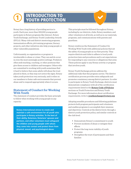# INTRODUCTION TO YOUTH PROTECTION

Rotary has a long history of providing service to youth. Each year, more than 300,000 young people participate in Rotary programs like Interact, Rotary Youth Exchange, and Rotary Youth Leadership Awards (RYLA). Many club and district mentoring programs, immunization efforts, job training programs, literacy projects, and other initiatives also help young people or other vulnerable populations.

Unfortunately, no organization or program is invulnerable to abuse or crises. They can and do occur in even the most seemingly positive settings. Predators often seek teaching, coaching, or other positions that give them access to children and teenagers. Others who are committed to working with youth sometimes find it hard to believe that some adults will abuse the trust placed in them, so they may not notice the signs. Rotary takes youth protection very seriously, and it relies on our members to foster safe environments that prevent abuse and to respond appropriately when it occurs.

# **Statement of Conduct for Working With Youth**

The statement of conduct provides the basic principle to follow when working with young people in any capacity:

**Rotary International strives to create and maintain a safe environment for all youth who participate in Rotary activities. To the best of their ability, Rotarians, Rotarians' spouses and partners, and other volunteers must safeguard the children and young people with whom they come into contact and protect them from physical, sexual, and psychological abuse.**

This principle must be followed throughout Rotary, including by our districts, clubs, Rotary members, and other volunteers at all levels, as well as in our materials, programs, and communications with parents and guardians.

Rotary reinforces the Statement of Conduct for Working With Youth with additional policies that set the safety of young people as our first priority. They require districts and clubs to adhere to local youth protection laws and procedures and to set expectations for responding to any concerns or allegations that arise. These policies apply to any Rotary activity or program that involves youth.

Rotary Youth Exchange policies address the additional risks that this program carries. The district certification process provides extra safeguards and promotes consistency among district partners. In order to participate in Rotary Youth Exchange, districts must demonstrate compliance with all of the certification requirements listed in the **[Rotary Code of Policies](https://my.rotary.org/document/rotary-code-policies)** sections on Youth Protection and Rotary Youth Exchange. For more information about certification requirements, write to **[youthexchange@rotary.org](mailto:youthexchange@rotary.org)**.

Adopting sensible procedures and following guidelines protects both program participants and volunteers and enables programs to accomplish their missions and objectives. Controls at the district level, through a district youth protection policy, and similar controls at the club level:

- **•** Demonstrate Rotary's commitment to youth
- **•** Prevent incidents of abuse or mitigate their effects
- **•** Protect the long-term viability of youth programs
- **•** Strengthen the trust of participants and their families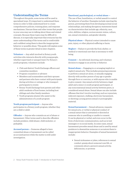# **Understanding the Terms**

Throughout this guide, some terms will be used in specialized ways. It's important to understand these terms in order to fully understand how to create comprehensive policies, training plans, and response mechanisms. Discuss these and other terms that people in your area may use in talking about these and related concepts. Because these topics may be difficult to discuss, it is especially important that everyone has the same understanding of the terms and is comfortable and confident using them to describe inappropriate behavior or possible abuse. This guide will explain some of these terms in greater detail in later chapters.

**Volunteer —** Any adult involved in Rotary youth activities who interacts directly with young people, whether supervised or unsupervised. For Rotary's youth programs, volunteers include:

- **•** Club and district Youth Exchange officers and committee members
- **•** Program counselors or advisers
- **•** Members and nonmembers and their spouses and partners who have contact with participants during activities or outings or who transport participants to events
- **•** Rotary Youth Exchange host parents and other adult residents of host homes, including host siblings and other family members
- **•** Youth programs alumni who assist in the administration of a youth program

**Youth program participant —** Anyone who participates in a Rotary youth program, whether they are a child or adult.

**Offender —** Anyone who commits an act of abuse or harassment. Other terms used to describe offenders include predator, child abuser, child molester, or pedophile.

**Accused person —** Someone alleged to have committed abuse or harassment can be called an accused person while the matter is still under investigation.

#### **Emotional, psychological, or verbal abuse —**

The use of fear, humiliation, or verbal assault to control the behavior of another. Examples include rejecting the person, preventing them from developing normal social relationships, and making derogatory statements based on characteristics that include age, ethnicity, race, color, abilities, religion, socioeconomic status, culture, sex, sexual orientation, and gender identity.

**Physical abuse —** Physical contact intended to cause pain, injury, or other physical suffering or harm.

**Neglect —** Failure to provide the food, shelter, or medical or emotional care that is necessary to wellbeing.

**Consent —** An informed, knowing, and voluntary decision to engage in an activity or behavior.

**Sexual abuse —** Engaging in or arranging implicit or explicit sexual acts. This includes pressuring someone to perform a sexual act alone, or sexually engaging directly with another person of any age or gender through force or coercion, or with anyone who is unable to give consent. Any sexual activity between a legal adult and a minor or youth program participant, or any nonconsensual sexual activity between peers, is considered sexual abuse. Sexual abuse can also include offenses that don't involve touching, such as voyeurism, indecent exposure, stalking, electronic harassment, or showing a young person sexual or pornographic material.

**Sexual harassment —** Sexual advances, requests for sexual acts, or verbal or physical conduct of a sexual nature that is unwanted or directed at someone who is unwilling or unable to consent. It can be physical or verbal, and even occur in the form of electronic communication, such as in text messages or on social media. In some cases, sexual harassment precedes sexual abuse and is used by sexual predators to desensitize someone or accustom them to inappropriate behavior. Examples of sexual harassment include:

**•** Sexual nicknames or jokes, references to sexual conduct, gossip about someone's sex life, or comments about a person's sexual activity, deficiencies, or prowess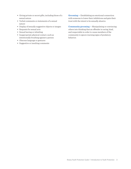- **•** Giving private or secret gifts, including those of a sexual nature
- **•** Verbal comments or statements of a sexual nature
- **•** Display of sexually suggestive objects or images
- **•** Requests for sexual acts
- **•** Sexual leering or whistling
- **•** Inappropriate physical contact, such as intentionally brushing against a person
- **•** Obscene language or gestures
- **•** Suggestive or insulting comments

**Grooming —** Establishing an emotional connection with someone to lower their inhibitions and gain their trust with the intent to be sexually abusive.

**Community grooming —** Manipulating or convincing others into thinking that an offender is caring, kind, and respectable in order to cause members of the community to ignore warning signs of predatory behavior.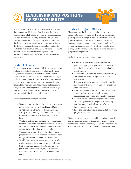# LEADERSHIP AND POSITIONS OF RESPONSIBILITY



Skilled leadership is critical to creating an environment that focuses on child safety. Youth protection is the responsibility of all adults involved in youth programs, but compliance with Rotary International (RI) and district policies depends especially on the vigilance of the district governor, various district program chairs, the district youth protection officer, club presidents, and club youth program chairs. They should coordinate their efforts to raise awareness of youth safety issues and develop and implement youth protection procedures.

# **District Governor**

The district governor is responsible for the supervision and control of district programs, including all youth programs and activities. District chairs and other volunteers are supervised by their governors and report to them. Given the sensitive nature of youth programs, governors are required to complete youth protection training as determined by Rotary's general secretary. They are also encouraged to use the time before they take office to learn as much as possible about the programs their districts participate in.

A district governor is responsible for:

- **•** Ensuring that the district has a youth protection policy that complies with the **[Rotary Code](https://my.rotary.org/en/document/rotary-code-policies)  [of Policies](https://my.rotary.org/en/document/rotary-code-policies)** for all youth programs, including Rotary Youth Exchange, and having a local legal professional check that they comply with local laws
- **•** Working with district committees to make sure that the policy is followed throughout the district and that all abuse or harassment allegations and other crises are handled appropriately
- **•** If necessary, intervening to administer youth programs, even if those responsibilities had been delegated to other district and club officers
- **•** Establishing a committee or process to closely review behavior, legal charges, and convictions that, even if they are not directly related to a youth protection violation, might otherwise disqualify a volunteer from working with young people

# **District Program Chairs**

Each year, the district governor should appoint or reappoint a chair for each youth program the district participates in. A program chair monitors and directs program activity at the club and district levels and serves as a resource and contact person for clubs. One person can serve as chair for multiple years; however, having an effective succession plan is key to consistent program management.

A district youth program chair should:

- **•** Know all RI and district youth protection policies and program operations and ensure that district and club programs meet all policy requirements
- **•** Assist with club training, participant screening and selection, program logistics, and risk management
- **•** Develop an effective support system for youth, encouraging them to report and cope effectively with challenges
- **•** Communicate with national and international contacts about program challenges and successes and serve as a liaison between clubs
- **•** Coordinate with the district youth protection officer (or governor) to respond immediately and thoroughly to all allegations of abuse, harassment, or other crises
- **•** Keep the district governor informed about youth program activities

Districts are encouraged to establish advisory roles for former program chairs so they may continue to offer their experience and knowledge to youth activities. The district may or may not officially recognize such roles.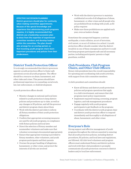#### **EFFECTIVE SUCCESSION PLANNING**

**District governors should plan for continuity when making committee appointments. Because of the special knowledge and experience that administering youth programs requires, it is highly recommended that districts use a leadership succession plan to draw from the expertise of experienced committee members and develop leaders within the committee. The plan should also arrange for an overlap period, so that incoming youth program chairs learn important procedures and policies from their predecessors.**

# **District Youth Protection Officer**

It is strongly recommended that district governors appoint a youth protection officer to foster safe operations across all youth programs. The officer should be a resource on abuse, harassment, and other risks and crises. This person should have professional experience in counseling, social work, law, law enforcement, or child development.

A youth protection officer should:

- **•** Monitor changes in national and local laws related to youth protection to keep district policies and procedures up-to-date, as well as any changes in RI policies, and tell the governor and district program chairs about them
- **•** Work with the district and clubs to inform all Rotary members of their youth protection obligations
- **•** Confirm that appropriate screening measures are used for all youth programs, in compliance with Rotary policies and local laws
- **•** Direct the selection of Rotary member and nonmember volunteers and make sure that volunteer screening is documented appropriately
- **•** Ensure that appropriate training is provided to Rotary members, other volunteers, and youth program participants and their parents
- **•** Oversee the proper handling of allegations, harassment, or other crises, and protect the interests of all who are involved
- **•** Work with the district governor to maintain confidential records of all allegations of abuse, harassment, or other crises and all people who are prohibited from working with youth, as RI policy requires
- **•** Make sure those prohibitions are applied each year, even as leaders change

Sometimes the unexpected happens: a serious earthquake, a train collision, an act of terrorism, civil unrest, or an act of violence in a school. A youth protection officer should consider what the district would do in one of these emergencies and how it could best keep program participants safe and all necessary parties, including participants' parents or legal guardians, notified.

# **Club Presidents, Club Program Chairs, and Other Club Officers**

Rotary club presidents have the overall responsibility for operating and coordinating club youth activities, with support from club committee members.

A club's president and committees should:

- **•** Know all Rotary and district youth protection policies and program operations that apply to a club's involvement, and ensure that club programs meet policy requirements
- **•** Implement required training, screening, program logistics, and risk management procedures
- **•** Engage regularly with youth program participants to get feedback on the programs
- **•** Coordinate with the district youth program chair and district youth protection officer to respond immediately and thoroughly to all allegations of abuse, harassment, and other crises

# **Everyone's Role**

Strong support and effective management of youth programs throughout the club are essential to ensuring that all youth protection policies, including district procedures, RI policies, and local laws and regulations, are followed. All club-level volunteers and program officers must understand Rotary and district policies and work with their club presidents to promptly communicate all youth protection concerns to district leaders and/or local law enforcement.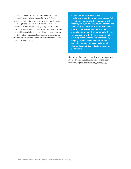Those who have admitted to, have been convicted of, or are known to have engaged in sexual abuse or sexual harassment of a youth or program participant are ineligible for Rotary membership — even if these crimes were committed long ago. Any volunteer who admits to, is convicted of, or is otherwise known to have engaged in sexual abuse or sexual harassment or other act that violates the accepted standard of behavior in the community must be prohibited from working with youths through Rotary.

#### **ROTARY INTERNATIONAL STAFF**

**Staff members at the Rotary International (RI) Secretariat support districts that work with Interact, RYLA, and Rotary Youth Exchange and assist districts and clubs in youth protection matters. The Secretariat's role includes enforcing Rotary policies, assisting districts in communicating with their partners abroad, ensuring reports to local law enforcement, helping respond to media inquiries, and providing general guidance to clubs and districts facing difficult situations involving participants.**

Contact staff members directly with any questions about RI policies, or for assistance with media relations, at **[youthprotection@rotary.org](mailto:youthprotection@rotary.org)**.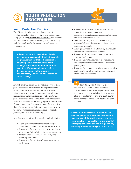# YOUTH PROTECTION **PROCEDURES**

# **Youth Protection Policies**

Each Rotary district that participates in youth programs must develop procedures and policies that comply with the **[Rotary Code of Policies](https://www.rotary.org/myrotary/en/document/rotary-code-policies)** and Rotary's Statement of Conduct for Working With Youth. They include guidelines for Rotary-sponsored travel by young people.

**Although your district may wish to develop one youth protection policy for all of its youth programs, remember that each program has unique aspects to consider. Rotary Youth Exchange, for example, requires districts to meet RI certification requirements before they can participate in the program. (See the** [Rotary Code of Policies](https://www.rotary.org/myrotary/en/document/rotary-code-policies) **section on Youth Exchange.)**

A youth program policy should not only cover critical youth protection procedures but also provide more general program operation guidelines so that all volunteers, program participants, and participants' families fully understand the expectations. District youth protection policies should address foreseeable risks. Risks associated with the program's environment should be considered, along with plans for mitigating them. Determine what Rotary members need to know to operate youth programs in accordance with RI policies, and train them accordingly.

An effective district youth protection policy includes:

- **•** A policy statement that includes Rotary's Statement of Conduct for Working With Youth
- **•** Procedures for ensuring that clubs comply with district and Rotary International requirements
- **•** Criteria and procedures for screening and selecting volunteers
- **•** Procedures for training volunteers who work with youth
- **•** Procedures for providing participants with a support network and resources
- **•** A system to manage program documentation and maintain confidential records
- **•** Guidelines for reporting and investigating suspected abuse or harassment, allegations, and confirmed incidents
- **•** A disciplinary policy for addressing individuals who exhibit inappropriate behavior
- **•** Procedures for managing crises, including a communication plan
- **•** Policies on how to safely store electronic data and the personal information of volunteers and participants
- **•** Practices for managing the risks associated with participants' travel, including supervision and monitoring expectations

Each Rotary district is responsible for ensuring that all clubs comply with Rotary policies and local laws. Noncompliance can have serious consequences, including the termination of an individual's membership or a club's charter or the suspension of the entire district's program activities.

**Review the Sample District Youth Protection Policy (appendix A). Policies will vary with the type and size of the youth programs and local governing laws. Thoroughly consider laws that affect program operations and incorporate any necessary information into your district policy.**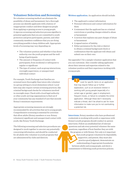# **Volunteer Selection and Screening**

No volunteer screening method can eliminate the possibility of abuse and harassment, but a thorough process can identify applicants with a history of inappropriate conduct and deter dangerous people from applying or gaining access to young people. A rigorous screening and selection process signifies to potential applicants that you are committed to youth protection and gives participants, parents, and other community members confidence that you are doing everything possible to keep children safe. Appropriate levels of screening may vary depending on:

- **•** The volunteer position and whether it has direct authority over the youth program and the wellbeing of participants
- **•** The amount or frequency of contact with participants, from incidental or infrequent to regular or significant
- **•** The type of contact, such as group interactions, overnight supervision, or unsupervised individual contact

For example, Youth Exchange host families are screened more thoroughly than tutors who volunteer in a group setting at a local elementary school. Local laws may also require certain screening practices, like criminal background checks for volunteers involved in overnight stays. Check with a local legal authority or other youth-serving organizations to find out if your community has any standard of care that exceeds Rotary's minimum requirements.

Appropriate screening measures are strongly recommended for all activities that serve young people. Comprehensive screening is essential for activities that allow adults (Rotary members or non-Rotary volunteers) significant and unsupervised contact with youth, like Rotary Youth Exchange.

The following screening and selection procedures are designed to work together to uncover any potentially concerning information, and should be conducted for all adults who volunteer in youth programs that are administered by clubs and districts.

#### **Written application.** An application should include:

- **•** The applicant's contact information
- **•** Personal references and contact information for them
- **•** A statement that the applicant has no criminal convictions or pending charges related to abuse or harassment
- **•** A section that explains any past charges of abuse or harassment
- **•** A signed waiver of liability
- **•** Either permission for the club or district to obtain a criminal background check or confirmation that the applicant will obtain and submit one on their own

See appendix C for a sample volunteer application that you can customize. Also consider asking applicants about their interest and expertise related to the volunteer position and their experience working with young people.

> Look for specific items on an application that may require follow-up or further explanation, such as an excessive interest in working with young people (especially of a certain age or gender), gaps in employment, frequent moves, or failure to complete the entire application. Although these don't necessarily indicate a threat, don't be afraid to ask for more information to make sure you're not overlooking a potential risk.

**Interviews.** Rotary members who have professional credentials in working with youth or experience with Rotary's youth programs should conduct in-person interviews. Follow an established list of relevant questions and ask every potential volunteer the same questions, regardless of how familiar they are with the program or with Rotary. Not only is it important that youth program volunteers be dependable, supportive, and patient, they must also practice good judgment, demonstrate an understanding of appropriate boundaries between adults and young people, and show a commitment to following youth protection policies.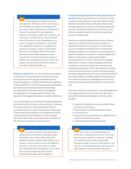Asking applicants directly if they have ever abused or molested a child or adult may be uncomfortable, but doing so emphasizes that your club or district takes abuse and harassment seriously. Pay attention to how applicants respond. If they become defensive or evasive, you may want to consider taking a more extensive look at the person's history. Depending on the culture, a simple and emphatic no can be the most appropriate response. If the applicant is upset by the question, simply say that asking directly is a surprisingly effective deterrent in screening for potentially dangerous people. Consult with local youth protection experts to identify the most appropriate way to broach this subject, and what types of potential responses may require additional follow up.

**Reference checks.** You can check references by phone or in person. Use a standard set of questions that ask how long and in what capacity the references have known the applicant, whether they believe the applicant is well-qualified to work with young people, and whether they have any reservations about recommending the applicant as a volunteer with youth programs. See appendix C for a sample reference form and appendix E for suggested questions to ask the references.

Do not skip reference checks just because the applicant has been involved in Rotary or has served as a volunteer for another youth-serving organization. We still recommend that you contact at least three references. They should not be members of the applicant's family, and no more than one should be a Rotary member. Record the date of the conversation and a summary of the volunteer's response to each question.

> Pay careful attention if you encounter a reference who is reluctant to participate, gives information that conflicts with anything the applicant has said, is evasive when asked certain questions, does not seem to know the applicant very well, or has only a short-term or surfacelevel relationship with the applicant. Any of these are concerning responses and should be addressed thoroughly with the applicant.

#### **Criminal background checks and criminal record**

**checks.** Background checks are a critical part of any youth protection policy because they deter potential offenders and detect known offenders. Many youthserving organizations require a criminal background check for all adult volunteers who work with youth, even for programs that don't involve unsupervised access to young people.

Checks are typically administered by a government agency for a small fee, but in some areas they are administered by private companies. In some cases, local law prohibits a third party from conducting a background check on a volunteer. In such instances, it may be possible for volunteers to request background checks on themselves and provide detailed documentation to the club or district. If it is legally impossible to require criminal background checks through any means, use alternative screening and monitoring procedures. These can include increasing supervision of the person's contact with participants, checking additional references, interviewing volunteers more thoroughly, and adding additional statements to the volunteer application regarding a person's work with youth programs and suitability for the volunteer role.

It is best to check your volunteers' criminal background thoroughly at least every two years. It is also best to include the following in background checks, when possible:

- **•** A search of criminal records in multiple states, provinces, or territories
- **•** A government-issued identification check
- **•** An alias search
- **•** A search in every jurisdiction the applicant has lived over the last seven years
- **•** A national fingerprint-based search

Don't rely on a criminal background check alone. It should be one of your many tools that can tell you whether a volunteer is suitable for a position working with young people. Dangerous people, and even repeat abusers, may not have criminal backgrounds if they have never been caught or have never been prosecuted.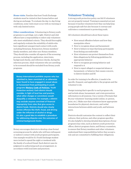**Home visits.** Families that host Youth Exchange students must be visited at their homes before and during an exchange. To evaluate the day-to-day living conditions, some visits must occur with no warning or with only limited notice.

**Other considerations.** Volunteering in Rotary youth programs is a privilege, not a right. District and club officers have a responsibility to select only volunteers who meet established criteria. They should thoroughly and regularly evaluate the suitability of adults who have significant unsupervised contact with youth, including Rotarians, Rotaractors, Rotary members' family members, and other non-Rotary members. They should also consider all aspects of the screening process, including the application, interviews, background checks, and reference checks, during the selection process. Adult volunteers who are unwilling to be screened should be excluded from Rotary youth programs.

**Rotary International prohibits anyone who has admitted to, been convicted of, or otherwise been found to have engaged in sexual abuse or harassment from participating in youth programs (**[Rotary Code of Policies](https://www.rotary.org/myrotary/en/document/rotary-code-policies)**, Youth Protection section). Each district should consider, in light of local law and practice, what other charges or convictions would disqualify a volunteer. For example, a district may exclude anyone convicted of financial impropriety from roles that give access to district funds. Districts should also closely review offenses like theft, fraud, and driving under the influence of alcohol or drugs. It's also a good idea to establish a procedure for addressing disputes over the outcomes of criminal background checks.**

Rotary encourages districts to develop a less formal screening process for adults who will have infrequent or indirect contact with youth program participants. One example would be if a Youth Exchange student were invited to spend the night or weekend with the family of a school friend. Each district uses its judgment in authorizing such an arrangement, in accordance with local laws and practices.

# **Volunteer Training**

A strong youth protection policy can fail if volunteers are not properly trained. Training is essential not just because it teaches volunteers how they can help keep young people safe but also because it conveys and cultivates a commitment to protecting youth.

All volunteers should learn about these topics:

- **•** How sexual offenders behave and how they manipulate others
- **•** How to recognize abuse and harassment
- **•** How to behave in ways that keep participants from feeling uncomfortable
- **•** How volunteers can protect themselves from false allegations by following guidelines for appropriate behavior
- **•** How to recognize grooming behavior and respond to it
- **•** How to report alleged or suspected abuse or harassment, or behavior that causes concern, to district leaders and RI

In order for training to be effective, it needs to be specific, frequent, and applicable to the program and the volunteer's role.

Design training that's specific to each program role, and include abuse, harassment, and crisis prevention information in all sessions. Use a variety of formats that fit your volunteers' learning needs (online, in-person, print, etc.). Make sure that volunteers know appropriate boundaries for physical, electronic, and verbal interactions between adults and youth, and between peers.

Districts should customize the content to reflect their cultures, their policies, and other program specifics. It's also helpful to develop detailed descriptions of your program's key roles, such as district youth protection officer, district program chairs, and Rotary counselors, to ensure that Rotary members and other volunteers understand their responsibilities before they accept a role and are committed to fulfilling their obligations.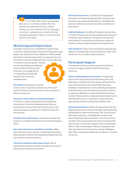$\blacksquare$  If an incident that involves young people does occur or is narrowly avoided, that may indicate that additional training is needed. Training can be an important tool for responding to concerns, recognizing new trends that might jeopardize participants' safety, or sharing the best practices and support.

# **Monitoring and Supervision**

Creating a culture of accountability by supervising volunteers and participants closely can help keep young people safe and prevent false allegations. When people know they are being supervised or monitored, they are less likely to interact inappropriately. You'll need a plan

to monitor youth programs, whether you do it by making unscheduled visits to observe Interact club activities or overnight RYLA or visiting Youth Exchange families. Here are some considerations:



#### **Document.** Keeping good records

of your visits is essential. Include your arrival and departure times, who was present, and a summary of what you observed.

#### **Vary your observation or visiting schedule.**

It is best to conduct both planned and unplanned observations. Avoid developing patterns that can be predicted, because they may not allow you to see genuine program conditions or volunteer and youth interactions.

**Consider the environment.** Determine whether the location is suitable and safe for the activity taking place there.

**Pay extra attention to sensitive activities.** Make sure volunteers and youth are complying with policies about sensitive matters like sleeping arrangements and use of toilet or shower facilities.

**Check for adequate adult supervision.** Check whether the minimum number of adults for the size of the group are present and involved.

**Observe interactions.** Confirm that young people and adults are behaving appropriately. Interrupt and document any inappropriate behavior and follow the process outlined in your policies after you finish your observation.

**Ask for feedback.** It's difficult to observe all activities or events. Develop ways for participants and volunteers to send you their opinions. Anonymous surveys and even informal conversations can give you a sense of whether policies and procedures are being followed.

**Give feedback.** If you notice something inappropriate, address it immediately so that the behavior stops. And always be sure to reinforce good behavior.

# **Participant Support**

Participants in Rotary youth programs should have access to a support network and informational resources.

**Abuse and harassment awareness.** Young people must receive age-appropriate information that will help them recognize and resist abuse and harassment and, when necessary, feel comfortable reporting problems. Training resources should help participants understand their own boundaries and empower them to express confidently to others when they have been crossed. Their parents or legal guardians should receive this information, too, so that they'll understand the expectations and how to keep their children safe.

**Alumni participation.** When it's appropriate, use the skills and experience of former program participants by asking them to assist with training. The critical issues that adolescents face, including peer pressure and preventing abuse and harassment, can resonate more strongly with young people when they're discussed by others closer to their age. Program alumni understand what it's like to participate in Rotary's programs, and they may also be more attuned to current challenges that other young people might face at school or in social situations.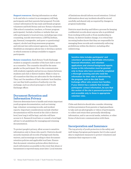**Support resources.** Having information on what to do and who to contact in an emergency will help participants and their parents feel prepared. Provide contact information for key male and female program volunteers and both Rotary and non-Rotary volunteers (like school counselors, teachers, or former program participants). Include a hotline or website that can refer participants to local services, including rape crisis counseling, suicide intervention, LGBTQ (lesbian, gay, bisexual, transgender, and queer or questioning) support, alcohol and drug awareness programs, and relevant law enforcement agencies, if possible. Establish an emergency phone line or develop a system in which someone is always available to support participants.

**Rotary counselors.** Each Rotary Youth Exchange student is assigned a member of the host club to serve as a counselor. The counselor should be the same gender as the participant. He or she communicates with students regularly and serves as a liaison between students and club or district leaders. Make it clear to all counselors that they are advocates for the students. They can't be members of their students' host families, nor can they hold a position of authority over the exchange, such as school principal or club Youth Exchange officer.

# **Document Retention and Information Privacy**

Districts determine how to handle and retain important youth program documentation, such as training logs, volunteer-screening records, and incident reports. Important considerations include whether documentation will be stored at the club or district level, how long it will be kept, and who will have access to it. Research local laws or consult a local legal adviser to set guidelines for managing and retaining documentation.

To protect people's privacy, allow access to sensitive information only to those who need it. Districts should securely maintain all records of background checks, waivers, and screenings according to their documentretention policies and applicable local laws. Ensure that document-retention policies allow districts as much information as possible in the event that abuse or harassment is reported many years later. Local statutes

of limitations should inform record retention. Critical information about any incidents should be stored carefully and shared only as required by changes in program leadership.

Districts must develop and follow a process for keeping confidential records about anyone who is prohibited from working with youth or from membership in Rotary. As district leaders change, it is critical that incoming leaders know that they are responsible for managing these records and consistently enforcing prohibitions within the district, including after redistricting.

**Sensitive data includes participants' and volunteers' personally identifiable information, financial information, and volunteer applications and criminal background reports. Access to this information must be granted only to those who have successfully completed a thorough screening and who need the information for their roles in administering the program, such as the club Youth Exchange officer who screens host families. If your district has a website that includes participants' contact information, be sure that this section of the site is password-protected and accessible only to those in appropriate volunteer roles.**

Clubs and districts should also consider obtaining written permission from parents or legal guardians to take and use photographs or videos of participants, to collect and retain their personally identifying information, and to use social media, websites, or other forms of electronic communication with them.

# **Incorporation and Insurance**

The top priority of youth protection is the safety and well-being of program participants, but it's also a good idea to implement measures to protect volunteers and minimize their exposure to risk.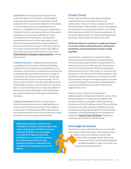**Legal entity.** Forming a separate legal entity can protect the district, its volunteers, and the district youth programs themselves to some degree. Youth programs can be incorporated together or individually, or a formal legal entity can be established for the district or a multidistrict youth program organization. If districts decide to incorporate their youth programs separately, or incorporate a multidistrict entity, it is important for the governor or an appointed representative to serve on that legal entity's board. Rotary International has district and multidistrict incorporation policies to preserve districts' authority over these corporations and to protect their officers. If you have questions on these policies, contact your **[Club and District Support representative](https://my.rotary.org/en/contact/representatives)** at Rotary International.

**Liability insurance.** Liability insurance protects an organization from claims and lawsuits alleging negligence by that organization, its employees, or its volunteers. Consult with a local insurance professional to determine the appropriate amount of coverage. At a minimum, this insurance should cover claims that arise from bodily injury or property damage. All U.S. Rotary clubs and districts are automatically provided with liability insurance; clubs and districts outside of the U.S. need to get their own coverage. Regardless of their location, Youth Exchange host families should also protect themselves by having personal liability insurance.

**Legal documentation.** Rotary youth programs should also require the parents or legal guardians of minors to give written permission for their children to participate. This permission offers organizations some legal protection and ensures that parents or legal guardians consent to program participation.

**Multinational districts sometimes face challenges in forming a separate legal entity and purchasing general liability insurance. Although all districts are encouraged to consult local legal and insurance professionals, it is especially important for multinational districts to seek professional advice to determine how to protect all participating areas of the district.**

# **Youth Travel**

Rotary clubs and districts may offer participants opportunities to travel outside of their home communities. The most obvious example is a Rotary Youth Exchange. Others include a service-learning trip for Interactors or an international RYLA camp. While these experiences enrich the lives of young people, all travel has inherent risks, for both the participants and the Rotary clubs and districts that are involved.

**Adults should never transport a single participant in a motor vehicle without the prior and express permission of the participant's parent or legal guardian.** 

At a minimum, organizers are required to obtain written permission from parents or legal guardians and to give them program details. Such permission is often given by email, but districts may also decide to require other documentation. When youth program participants travel out of the country or more than 240 kilometers, or 150 miles, from the home residence, they should have adequate insurance for the duration of the trip, including coverage of emergency medical care and evacuation, repatriation of remains, and legal liability, in amounts satisfactory to the club or district that organizes the travel.

However, when youth travel is organized or administered by a foreign club or district, such as when Rotary members in a foreign city are asked to host youth participants or arrange for their hosting, this functions as a Youth Exchange activity. These activities entail particular risks and responsibilities and must be administered through the district Youth Exchange committee, with all participating clubs and districts meeting the **[Rotary Code of Policies](https://www.rotary.org/myrotary/en/document/rotary-code-policies)** certification requirements for Rotary Youth Exchange.

# **Overnight Activities**

Youth travel or other activities that involve overnight stays require additional caution. They present unique risks to youth and volunteers because they often involve changing clothes, showering, unstructured time, and mixing participants of different genders or ages. As a result, they require increased supervision.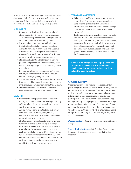In addition to enforcing Rotary policies on youth travel, districts or clubs that organize overnight activities should also follow these guidelines for overnight supervision, facilities, and sleeping arrangements.

#### **SUPERVISION**

- **•** Screen and train all adult volunteers who will stay overnight with young people in advance. Talk about safety procedures, abuse prevention, and emergency and crisis management.
- **•** Prevent all unsupervised individual contact, including contact between young people or contact between a young person and an adult. Either have at least two youth participants present if there will be only one adult volunteer, or have two adults accompany one youth.
- **•** Hold a meeting with all volunteers to review policies and procedures and discuss the general risks of overnight trips as well as risks specific to the activity.
- **•** Set appropriate supervision ratios before the activity and make sure there will be enough volunteers for proper supervision.
- **•** Assign volunteers specific groups of participants to supervise. They should account for everyone in their groups regularly throughout the activity.
- **•** Have volunteers sleep in shifts so they can supervise participants during sleeping hours.

# **FACILITIES**

- **•** Clearly define the physical boundaries of the facility and/or area where the overnight activity will take place. Show them to volunteers and youth program participants.
- **•** Assign volunteers to monitor high-risk areas, such as toilets, entrances, exits, hallways, stairwells, unlocked rooms, classrooms, offices, or out-of-the-way locations.
- **•** Establish safety procedures for showering and using toilet facilities. For example, if many participants need to use the toilets at the same time, allow only one participant at a time in each stall, and plan to have different age groups use the toilet facilities at different times. Adult volunteers should never shower or use the toilets with participants but should supervise from outside the bathroom or shower area.

# **SLEEPING ARRANGEMENTS**

- **•** Whenever possible, arrange sleeping areas by sex and age. It is also important to consider participants' gender identity and sexual orientation, and work with their parents or legal guardians to make arrangements that meet everyone's needs.
- **•** Participants should always have their own beds, and volunteers should have their own rooms when possible. If sharing rooms can't be avoided, make sure there are enough adults to supervise the participants, don't let one participant and one adult share a sleeping area, and make sure youth and adults change clothes and use toilet facilities separately.

**Consult with local youth-serving organizations to determine the standards of care where you live and learn more of the best practices related to overnight stays.**

# **Online Safety**

The internet can be a powerful tool, especially for youth programs. It can be used to promote programs, to communicate with friends and families while abroad, and even to collect and store volunteer and participant information. It also poses a number of risks that participants should be aware of. Because technology changes rapidly, no single policy could cover the range of issues related to internet use. Each program should consider the potential risks and then develop policies to address them. Consider whether internet use might compromise the safety of volunteers or participants in any of these ways:

**Physical safety —** their freedom from physical harm or danger

**Psychological safety —** their freedom from cruelty, harassment, and exposure to possibly disturbing material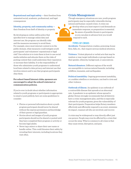**Reputational and legal safety —** their freedom from unwanted social, academic, professional, and legal consequences

**Identity, property, and community safety**  their freedom from theft of identity or property

By developing an online safety policy that specifies how to manage online data and internet use, the program can identify risks and the measures necessary to avoid them. For example, since most internet content is in the public domain, what measures could mitigate youth participants' and volunteers' reputational or legal risk? One solution is to train them in how to use social media websites and educate them on the risks of posting content that could undermine their reputation or increase their liability. It is the responsibility of those who administer youth programs to understand local laws related to data privacy and internet use that involves minors and to see that program participants obey them.

# **For school-based Interact clubs, sponsors are encouraged to adopt the school's internet or communication policies.**

If you're ever in doubt about whether information related to youth programs or participants is appropriate to email or post publicly, here are some guidelines to consider:

- **•** Photos or personal information about a youth program participant should never be shared without the express permission and knowledge of their parent or legal guardian.
- **•** Stories about and images of youth program participants should not be shared or posted until they have completed their program or activity or become legal adults.
- **•** Never tag a minor or share their user name or handle online. This could threaten their safety by revealing their interests, including locations they visit often.

# **Crisis Management**

Though emergency situations are rare, youth program participants may be especially vulnerable during natural and human-caused crises. A crisis can develop when you least expect it and demands an

immediate response, so preparation is essential. Be aware of possible threats to participants so you can plan in advance how you would respond to each.

#### **TYPES OF CRISES**

**Accidents.** Transportation crashes, poisoning, house fires, falls, etc., that require serious medical attention.

**Violence.** Violent physical or verbal acts that may be random or may target individuals or groups based on their gender, ethnicity, background, or associations.

**Natural disasters.** Different regions of the world are susceptible to various natural hazards, including wildfires, tsunamis, and earthquakes.

**Political instability**. Ongoing government instability, or a sudden rebellion or revolution, can lead to riots and other violence.

**Outbreak of illness**. An epidemic is an outbreak of a contractible disease that spreads at an abnormal rate. A pandemic is an epidemic whose spread is global. Rotary strongly recommends that all districts have a crisis-management plan, and this is especially relevant for youth programs, given the vulnerability of their participants. Preparation helps Rotary members effectively and efficiently respond to an event, minimize its impact, reassure all who are involved, and recover.

A crisis may be widespread or may directly affect just one person. People may even be affected by a crisis that occurs far away. What is common to all crises is that they cause stress, disruption, and pain.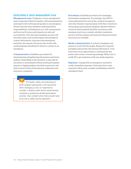#### **DEVELOPING A CRISIS MANAGEMENT PLAN**

**Management team.** Designate a crisis-management team composed of district leaders, club representatives, and experts who will respond quickly in an emergency. Ensure that the team members understand their responsibilities, including how you will communicate and how you'll ensure participants are safe and accounted for. Give the team members access to all necessary data, such as participant and emergency contact information, insurance documentation, and policy documents. Everyone who works with youth programs should know whom to contact in an emergency.

**Communication.** Establish a procedure for disseminating and gathering information and status updates. Depending on the situation, it may also be necessary to immediately inform youth participants' parents or legal guardians, the district governor, law enforcement, Rotary International, embassies, and insurance companies.

**Procedures.** Establish procedures for managing foreseeable emergencies. For example, have RYLA camp administrators review fire, medical emergency, and other disaster response plans with their volunteers and program participants; designate disaster shelters; research which medical facilities can best provide emergency services; consider whether translation services will be needed; and research what government resources are available.

**Media communication.** It is best to designate one person to work with the media. Respond to requests promptly and provide only factual information. View interviews as an opportunity to communicate key points and convey a reassuring message. Make sure to notify RI to get assistance with any media inquiries.

**Expenses.** Coping with an emergency can lead to costly, immediate expenses. Determine how crisis expenses will be paid; consider establishing a district emergency fund.

 The health, safety, and well-being of youth program participants is the top priority when managing a crisis. It's important to consider in advance what factors would prompt canceling or postponing all planned program activities. Also consider what criteria would need to be met to safely resume operations.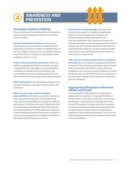

# **Creating a Culture of Safety**

Everyone has a part in creating safe environments for Rotary's youth program participants. To establish a culture of safety:

**Set clear standards and policies.** Setting clear policies gives you a strong start in communicating expectations for behavior. Define acceptable behavior. Lay out a range of responses to unacceptable behavior so you'll be ready to recognize it and address it with confidence when it occurs.

**Enforce those standards and policies.** When you address inappropriate behavior promptly, you send a message that the rules apply to everyone and that violations of any kind will not be tolerated. This accountability reassures program participants and their families that Rotary takes youth safety seriously.

**Hold training often.** Provide specific, frequent, and relevant training to participants, their families, and volunteers.

#### **Make sure everyone understands their**

**responsibilities.** Members, nonmember volunteers, and young people themselves should understand their role and responsibility in ensuring the safety of participants. Even those who aren't directly involved in youth programs should understand that they also have responsibilities to exhibit appropriate behavior, to know the signs of abuse or harassment, and how to report concerning behavior or allegations of abuse or harassment should they become aware.

**Pay attention to warning signs.** Not only must everyone be prepared to recognize inappropriate behavior, but participants, their families, and volunteers must also feel empowered to act. Interrupting behavior that causes you concern tells offenders that their actions are being monitored. It also helps people who have good intentions when they are unintentionally acting in a way that could be harmful, and could even prevent them from being accused of sexual abuse or harassment.

#### **Take reports of inappropriate behavior and abuse**

**seriously.** How you respond to inappropriate behavior or reports of abuse and harassment has a direct impact on how much harm the behavior causes. Reacting promptly to any concerns or reports of abuse is critical. It may not only prevent further harm to a young person but also reduce damage to the reputations of the club, district, and Rotary.

# **Appropriate Boundaries Between Adults and Youth**

It is important for both adults and young people to understand the boundaries of appropriate behavior and know how to tell others when their own personal boundaries, or those set by your policies, have been crossed. Throughout this section you'll see examples of interactions between adults and young people that are appropriate and others that are inappropriate, regardless of who initiates the behavior. Your club and district should use these lists as examples and develop your own guidelines.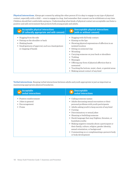**Physical interactions.** Always get consent by asking the other person if it is okay to engage in any type of physical contact, especially with a child — even to engage in a hug. And remember that consent can be withdrawn at any time. Children should feel comfortable saying no. Understanding what kinds of physical contact are acceptable can foster a positive and safe environment that protects both young people and adults.

| <b>Acceptable physical interactions</b>                                                                                                                       | <b>Unacceptable physical interactions</b>                                                                                                                                                                                                                                                                                                                                                                                                    |
|---------------------------------------------------------------------------------------------------------------------------------------------------------------|----------------------------------------------------------------------------------------------------------------------------------------------------------------------------------------------------------------------------------------------------------------------------------------------------------------------------------------------------------------------------------------------------------------------------------------------|
| (if culturally appropriate and with consent)                                                                                                                  | (with or without consent)                                                                                                                                                                                                                                                                                                                                                                                                                    |
| • Hugging from the side<br>Patting on the shoulder or back<br>• Shaking hands<br>• Small gestures of approval, such as a hand gesture<br>or clapping of hands | $\bullet$ Hugging with full body contact.<br>• Kissing on the lips<br>• Showing physical expressions of affection in an<br>isolated location<br>• Sitting on someone's lap<br>Wrestling<br>• Carrying someone on your back or shoulders<br>$\bullet$ Tickling<br>• Massages<br>• Offering any form of physical affection that is<br>unwanted<br>• Touching the bottom, waist, chest, or genital areas<br>• Making sexual contact of any kind |

**Verbal interactions**. Keeping verbal interactions between adults and youth appropriate is just as important as maintaining appropriate physical boundaries.

| <b>Acceptable</b>                                                           | <b>Unacceptable</b>                                                                                                                                                                                                                                                                                                                                                                                                                                                                                                                                                 |
|-----------------------------------------------------------------------------|---------------------------------------------------------------------------------------------------------------------------------------------------------------------------------------------------------------------------------------------------------------------------------------------------------------------------------------------------------------------------------------------------------------------------------------------------------------------------------------------------------------------------------------------------------------------|
| <b>verbal interactions</b>                                                  | verbal interactions                                                                                                                                                                                                                                                                                                                                                                                                                                                                                                                                                 |
| • Positive reinforcement<br>• Jokes in general<br>Encouragement<br>• Praise | • Calling someone names<br>• Adults discussing sexual encounters or their<br>personal problems with youth participants<br>• Adults asking youth to keep secrets of any kind<br>• Cursing<br>Discriminatory or sexual jokes<br>٠<br>• Shaming or belittling someone<br>• Harsh language that may frighten, threaten, or<br>humiliate youths<br>• Making negative remarks about a participant or<br>their family, culture, religion, gender identity,<br>sexual orientation, or background<br>• Commenting on or complimenting a person's body<br>or body development |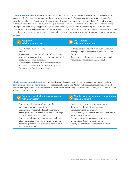**One-to-one interactions.** When an adult and a participant spend time alone with each other, that can pose both a greater risk of abuse or harassment for the young person and a risk of allegations of inappropriate behavior for the volunteer. Consult with other youth-serving organizations in your area to refine your district's policies on such individual contact in other contexts. For example, you may consider requiring another adult's prior approval of any time spent with just one young person. The other adult would get the details of the meeting and an invitation to observe or to join the meeting without notice. Be especially careful to limit physical contact when you are with just one participant, to prevent the young person or bystanders from misinterpreting your intentions or alleging inappropriate behavior.

| <b>Acceptable</b><br>individual interactions                                                                                                                                                                                                                                                                                                                        | $\sum$ Unacceptable<br>individual interactions                                                                                                                                                                        |
|---------------------------------------------------------------------------------------------------------------------------------------------------------------------------------------------------------------------------------------------------------------------------------------------------------------------------------------------------------------------|-----------------------------------------------------------------------------------------------------------------------------------------------------------------------------------------------------------------------|
| • A meeting in a public place where others are<br>present<br>• A meeting in a classroom, office, or other private or<br>semiprivate location, if you leave the door open and<br>notify another adult in advance<br>• A meeting in a home or other private location, if it's<br>approved in advance (for example, Rotary Youth<br>Exchange host family arrangements) | • Individual interactions that involve unapproved<br>overnight stays or shared use of showers or toilet<br>facilities<br>• Transporting only one young person in a vehicle<br>without prior approval by another adult |

**Electronic and online interactions.** Communicating with participants by text message, email, social media, or personal phone presents new challenges to keeping participants safe. Many youth-serving organizations prohibit private texting or online conversations between adults and youth. They require the adult to copy another volunteer on any such communications.

| <b>Guidelines for electronic communication</b>                                                                                                                                                                                                                                                                                                                                                                       | What to avoid in electronic communication                                                                                                                                                                                                                                                                                                              |
|----------------------------------------------------------------------------------------------------------------------------------------------------------------------------------------------------------------------------------------------------------------------------------------------------------------------------------------------------------------------------------------------------------------------|--------------------------------------------------------------------------------------------------------------------------------------------------------------------------------------------------------------------------------------------------------------------------------------------------------------------------------------------------------|
| with a participant                                                                                                                                                                                                                                                                                                                                                                                                   | with a participant                                                                                                                                                                                                                                                                                                                                     |
| • Copy or include another volunteer or the<br>participant's parent or guardian<br>• Communicate with multiple participants in a<br>closed group, or use a website or social media page<br>that are not visible to the public<br>• Counselors, advisers, and host parents might be<br>allowed to exchange messages with a participant<br>without supervision if they have the prior approval<br>of program leadership | • Harsh, coercive, threatening, intimidating,<br>derogatory, or humiliating comments<br>• Sexual conversations or images<br>• Private messages between a volunteer and a youth<br>without prior approval<br>• Posting pictures of youth participants on social<br>media sites without parental consent<br>• Posting inappropriate comments on pictures |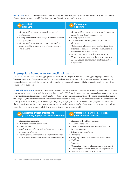**Gift giving.** Gifts usually express care and friendship, but because giving gifts can also be used to groom someone for abuse, it is important to establish gift-giving guidelines for your youth programs.

| <b>Acceptable</b>                                                                                                                                                                                                                                                         | <b>Unacceptable</b>                                                                                                                                                                                                                                                                                                                                                                                                                                                                                          |
|---------------------------------------------------------------------------------------------------------------------------------------------------------------------------------------------------------------------------------------------------------------------------|--------------------------------------------------------------------------------------------------------------------------------------------------------------------------------------------------------------------------------------------------------------------------------------------------------------------------------------------------------------------------------------------------------------------------------------------------------------------------------------------------------------|
| gift giving                                                                                                                                                                                                                                                               | gift giving                                                                                                                                                                                                                                                                                                                                                                                                                                                                                                  |
| Giving a gift or reward to an entire group of<br>participants<br>• Giving an award or other recognition at an event or<br>in a group setting<br>• Giving a gift to a single participant or a smaller<br>group with the prior approval of their parents or<br>other adults | • Giving a gift or reward to a single participant or a<br>small group without prior approval<br>• Giving a gift in secret<br>• Sexually oriented or explicit gifts, including<br>clothing<br>• Cell phones, tablets, or other electronic devices<br>intended to be used for private communication<br>between an adult and a youth<br>• Jewelry, money, or other high-value items<br>• Trips, outings, or meals without prior approval<br>• Alcohol, drugs, pornography, or other illicit or<br>illegal items |

# **Appropriate Boundaries Among Participants**

Many of the boundaries that are appropriate between adults and youth also apply among young people. There are, however, some special considerations for both physical and electronic and online interactions just between young people. It is also especially important to watch for signs of abuse or harassment between participants, because they can be easy to overlook.

**Physical interactions.** Physical interactions between participants should follow clear rules that are based on what is appropriate to your culture and the program. For example, RYLA participants may have physical contact during group activities that build teamwork or trust. Youth program participants, especially those who spend significant amounts of time together, often develop romantic relationships or close friendships. Your policies should make it clear that sexual activity of any kind is not permitted while participating in a program activity or event. Tell program participants that the boundaries are designed not to prevent them from developing meaningful relationships but to protect them from potential harm and prevent people in the program from feeling uncomfortable.

| <b>Acceptable physical interactions</b><br>(if culturally appropriate and with consent)                                                                                                                                                                                       | Unacceptable physical interactions<br>(with or without consent)                                                                                                                                                                                                                                                                                                                                                                |
|-------------------------------------------------------------------------------------------------------------------------------------------------------------------------------------------------------------------------------------------------------------------------------|--------------------------------------------------------------------------------------------------------------------------------------------------------------------------------------------------------------------------------------------------------------------------------------------------------------------------------------------------------------------------------------------------------------------------------|
| • Hugging from the side<br>• Patting on the shoulder or back<br>• Shaking hands<br>• Small gestures of approval, such as a hand gesture<br>or clapping of hands<br>• Holding hands as a reasonable display of affection<br>within close friendships or romantic relationships | • Hugging with full body contact<br>• Kissing on the lips<br>• Showing physical expressions of affection in<br>isolated location<br>• Sitting on someone's lap<br>• Wrestling<br>• Carrying someone on your back or shoulders<br>$\bullet$ Tickling<br>$\bullet$ Massages<br>• Offering any form of affection that is unwanted<br>• Touching the bottom, waist, chest, or genital areas<br>• Making sexual contact of any kind |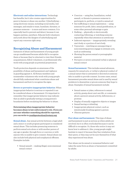**Electronic and online interactions.** Technology has benefits, but it also creates opportunities for peers to harass or abuse one another. Cyberbullying using electronic means, including social media, text messages, and emails to tease, humiliate, threaten, or pressure someone — is more and more common. It is especially hard to prevent and detect, because it can happen anytime, anywhere. Educate both volunteers and youth about the dangers of cyberbullying and report any concerns right away.

# **Recognizing Abuse and Harassment**

Instances of abuse and harassment of young people can go unaddressed because adults fail to recognize them or because they're reluctant to view their friends, acquaintances, fellow volunteers, or professionals who work with young people as potential perpetrators.

Youth protection depends on awareness of the possibility of abuse and harassment and vigilance in guarding against it. All Rotary members and nonmember volunteers who work with young people should fully understand what constitutes abuse and harassment and how to recognize the signs.

**Severe or pervasive inappropriate behavior.** When inappropriate behavior is serious or repeated it can be considered abuse or harassment. It's important to remember that inappropriate behavior may indicate that an adult is gradually testing a young person's boundaries before escalating the behavior to abuse.

**Determining when inappropriate behavior becomes abuse is law enforcement's role. If you are not sure whether something should be reported, you can write to [youthprotection@rotary.org.](mailto:youthprotection@rotary.org)**

**Sexual abuse.** Any sexual activity between a legal adult and a minor or youth program participant is considered sexual abuse. This includes pressuring someone to perform sexual acts alone or with another person of any age or gender, through force or coercion or with anyone who is unable to give consent. Sexual abuse can also include both physical and nonphysical offenses. Examples include:

**•** Sexual assault — making illegal, nonconsensual sexual contact

- **•** Coercion using fear, humiliation, verbal assault, or threats to pressure someone to participate in, perform, or watch a sexual act
- **•** Sex trafficking or sexual exploitation using someone for profit, labor, sexual gratification, or some other personal advantage or gain
- Stalking physically or electronically contacting, following, or watching someone repeatedly when that attention is unwelcome
- Indecent exposure inappropriately revealing one's body or a portion of one's body
- **•** Voyeurism watching an unsuspecting or nonconsenting person engage in intimate acts, such as undressing
- **•** Showing the person sexual or pornographic material
- **•** Pervasive or severe unwanted verbal or physical sexual contact

**Sexual harassment.** This includes sexual advances, requests for sexual acts, or verbal or physical conduct of a sexual nature that is unwanted or directed at someone who is unable to provide consent. In some cases, sexual harassment precedes sexual abuse and is used by sexual predators to desensitize or groom someone they hope to abuse. Examples of sexual harassment include:

- **•** Sexual names or jokes, references to sexual activity, gossip about one's sex life, or comments about a person's sexual activity, deficiencies, or prowess
- **•** Display of sexually suggestive objects or images
- **•** Sexual leering or whistling
- **•** Inappropriate physical contact, such as intentionally brushing against a person
- **•** Obscene gestures

**Peer abuse and harassment.** This type of abuse and harassment is just as serious as when adults are involved, but it is often overlooked because it can be difficult to recognize. Or, those who notice it may not know how to address it. Also, young people might hesitate to report it because they fear retaliation from their peers, or they may not be sure themselves if what they experienced was abuse.

Peer abuse can be sexual or nonsexual behavior and takes the same form as abuse or harassment committed by adults.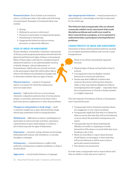**Nonsexual abuse.** Even if abuse is not sexual in nature, it still poses risks to the safety and well-being of a participant. Examples of nonsexual abuse may include:

- **•** Hazing
- **•** Bullying (in-person or electronic)
- **•** Pressure to participate in inappropriate games
- **•** Humiliating or threatening
- **•** Inappropriate behaviors that are severe, pervasive, or objectively offensive

#### **SIGNS OF ABUSE OR HARASSMENT**

Rotary members, nonmember volunteers, and parents of Rotary youth program participants should watch for physical and behavioral signs of abuse or harassment. Many of these signs could also be considered typical adolescent behavior or an understandable reaction to family changes, cultural adjustment, or homesickness. Adults who are actively involved in the participant's daily life will be better able to observe the behavioral and physical changes and to determine whether they are signs of abuse.

**Physical injuries** — a pattern of repeated injury or an injury for which the explanation does not make sense

**Anxiety** — high levels of worry or nervousness; obsessive-compulsive patterns; fear of certain places, people, or activities; reluctance to be alone with a particular person; nightmares or other sleep problems

**Changes in eating habits or body image** — swift or extreme weight loss or gain, distorted body image which may sometimes result in eating disorders

**Withdrawal** — difficulties at school, unwillingness to participate in extracurricular activities, repression, a deterioration in peer relationships, or isolation all of which may also be signs of depression

**Depression** — excessive crying, extreme mood swings, diminished self-esteem, self-mutilation, or suicidal thoughts or attempts

**Delinquency** — criminal behavior, conflict with authority, running away, academic problems, or drug or alcohol abuse

**Aggression** — overly hostile behavior or language

**Age-inappropriate behavior** — sexual promiscuity or sexual behavior or knowledge of sex that is abnormal for the child's age

**The behavior that young people who are abused commonly exhibit can be associated with youth discipline problems and could even result in their removal from a program, so it is essential to understand why a participant is having behavior problems.**

#### **CHARACTERISTICS OF ABUSE AND HARASSMENT**

Awareness of abuse and harassment patterns can help you recognize potential problems and current or past transgressions.

> Abuse is not always immediately apparent because:

- **•** Physical signs of abuse can heal before they're noticed.
- **•** A young person may not display common behavioral or emotional indicators.
- **•** People may find it difficult to believe that someone they know well may have abused a child, so they may dismiss allegations without investigating them thoroughly — especially when the accused person is a friend or family member or is highly respected.

The vast majority of incidents of abuse or harassment aren't reported because:

- **•** Young people tend to minimize and deny abuse, not exaggerate or over-report incidents.
- **•** Young people might feel that they're to blame for what occurred, fear that they will not be believed, or worry about the potential consequences of a report.
- **•** Young people may be afraid of getting the offender in trouble or of getting in trouble themselves if the abuse occurred while they were breaking a rule or law.
- **•** Males are less likely to report abuse because of self-blame, social stigma, or fears that they will not be believed or will be seen to have a particular sexual orientation.
- **•** Few abusers are prosecuted.

In some cases, young people wait to report abuse until they are adults, or they may never report it.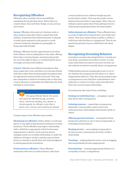# **Recognizing Offenders**

Offenders often carefully choose and skillfully manipulate the people they abuse. Before they can commit abuse, they need three things: access, privacy, and control.

**Access.** Offenders often seek out volunteer work or other positions that allow them to spend time with children. Sometimes they befriend parents or attempt to build a good reputation with parents or youth volunteer leaders by doing favors, giving gifts, or being especially friendly.

**Privacy.** Offenders look for opportunities to be alone with children, such as taking them to the toilet, offering them rides or private lessons, meeting in places that are out of the sight of others, or volunteering for late or overnight activities with children.

**Control.** Offenders test children's boundaries, find ways to gain their trust, and often try to become friends with them rather than maintaining the boundaries that are appropriate between adults and youth. They may also manipulate a child into breaking rules so they have a way to threaten or intimidate the child when the child attempts to resist abuse.

> The typical offender blends into society and cannot be identified by age, economic status, community standing, race, gender, or mental capacity. An offender is also often a person who is known and trusted by the abused.

Common types of sex offenders may include:

**Situational sex offenders.** Either adults or youth may ignore or lose sight of appropriate boundaries in certain situations. These offenders may begin a relationship with a child that is appropriate at first but becomes inappropriate or abusive. Such a person may be unhappy, lonely, in a troubled relationship, or under the influence of drugs or alcohol, and they may use these factors to attempt to justify their lack of good judgment in setting appropriate boundaries.

**Preferential sex offenders.** These offenders, sometimes referred to as child molesters, often have

a sexual preference for children though may also be attracted to adults. They may also prefer certain physical characteristics or age ranges. Often, they are willing to spend a great deal of time getting to know a child and grooming them before the abuse begins.

**Indiscriminate sex offenders.** These offenders have no sense of right and wrong and don't care if they hurt others. They may commit abuse in public or abduct a child from toilet facilities or a playground. They do not spend time getting to know a child before the abuse begins.

# **Recognizing Grooming Behavior**

Learning to recognize grooming behavior can help you stop abuse, sometimes even before it starts. In some cases, these behaviors may be innocent, but they can also indicate an intent to sexually abuse a young person.

Child predators groom young people in part to try to see whether the young person will object to or report inappropriate behavior. They also use grooming to gain a young person's trust, find their vulnerabilities, exert authority or control over them, and eventually draw them into a secret sexual relationship.

Grooming may take many forms, including:

**Seeking out individual time** — arranging to spend time alone with a young person

**Isolating someone** — separating a young person, physically or emotionally, to gain control and undermine their relationships with friends, family, or others

**Offering special treatment** — showing favoritism, giving extra attention to one or more young people, or rewarding certain behavior

**Keeping secrets** — encouraging young people to lie, keep secrets, communicate privately, or hide a relationship

**Touching** — making physical contact, such as hugging, that may gradually become inappropriate

**Desensitizing** — treating inappropriate behavior as acceptable, normal, or insignificant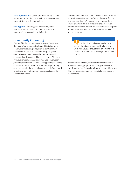**Forcing consent** — ignoring or invalidating a young person's right to object to behavior that makes them uncomfortable or violates policies

**Giving gifts** — offering gifts or rewards, which may seem appropriate at first but can escalate to inappropriate or sexually explicit gifts

# **Community Grooming**

Just as offenders manipulate the people they abuse, they also often manipulate others. This is known as community grooming. They may do anything they can to earn the trust of the community. They are often respected members of the community and successful professionals. They may be your friends or even family members. Abusers who use community grooming techniques are skilled at appearing charming, successful, kind, and helpful. Community grooming can be especially dangerous because people find it hard to believe a person they know and respect could do something harmful.

It is not uncommon for child molesters to be attracted to service organizations like Rotary, because they can use the organization's reputation to improve their own reputation. They may point to their record of community service or charitable contributions as proof of their good character to defend themselves against any allegations.

> Skilled child predators may also try to stay on the edges, so they might volunteer to work with youth without taking on a formal role in order to avoid formal screening or background checks.

Offenders use these systematic methods to distract others from inappropriate behavior, gain access to youth, and shield themselves from accountability when they are accused of inappropriate behavior, abuse, or harassment.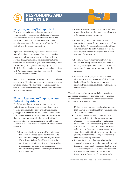# RESPONDING AND REPORTING

# **Why Responding Is Important**

How you respond to suspicious or inappropriate behavior, policy violations, or allegations of abuse or harassment can have a direct impact on how much harm participants experience. It can also prevent or reduce damage to the reputation of the club, the district, and the entire organization.

If you don't address improper behavior because it seems harmless, it can worsen. Ignoring it can also create an environment where abuse is more likely. For one thing, when sexual offenders see that small violations are accepted, they may think that larger ones are also likely to be ignored. Young people may also think that the behavior is normal or that nobody objects to it. And that makes it less likely that they'll recognize or report abuse if it occurs.

Responding to abuse and harassment appropriately and according to RI policy and local laws protects everyone involved: anyone who may have been abused, anyone who is accused of wrongdoing, and the clubs or districts that run the program.

# **How to Respond to Inappropriate Behavior by Adults**

The behaviors that we've said are inappropriate including an adult seeking time alone with a young person, expressing affection physically, or giving a young person special attention — may seem innocent. Often, these behaviors are harmless, so if you observe them, you may question whether reporting them is necessary. Here are some guidelines for addressing behavior that seems inappropriate or otherwise causes concern:

1. Stop the behavior right away. If you witnessed the behavior and feel comfortable doing so, tell the adult that what you saw was inappropriate. If you do not feel comfortable addressing the adult, ask a district leader to do so. Interrupting inappropriate behavior is often the most effective way to prevent something more serious from happening.

2. Have a trusted adult ask the participant if they would like to discuss what happened with you or with another trained volunteer.

 $\overline{\bullet}$ 

- 3. Immediately report the behavior to the appropriate club and district leaders, according to your district's youth protection policy. If the behavior involved a district leader or someone else in a position of authority, contact RI staff members for assistance.
- 4.Document what you saw or what you were told, as well as any actions taken, but leave the investigation to your club or district leaders or an independent committee appointed for that purpose.
- 5. Make sure that appropriate action is taken after you've made your report to club or district leaders. If you feel the behavior was not adequately addressed, contact RI staff members for assistance.

Take all reports of inappropriate behavior seriously. Act as soon as possible to prevent it from continuing or worsening. In response to a report of concerning behavior, district leaders should:

- **•** Make sure everyone who needs to know about the behavior does, including the youth protection officer, if the district has one.
- **•** Talk with the young person and their parent or guardian. Either tell the parent what was observed or reported, or let the young person do so — whichever approach they prefer. Tell both of them that the adult violated the district's policy. Assure the young person that you care about them and that their safety is your highest priority. Invite them to ask any questions they have or express any concerns.
- **•** Review district records to see whether the concerning behavior or similar complaints about the same person have been reported in the past. Take behavior patterns into consideration when you decide which safeguards to implement in response to the report. Those safeguards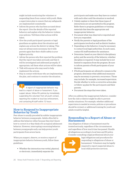might include monitoring the volunteer or suspending them from contact with youth. Make a supervision plan to ensure that any safeguards are implemented consistently.

- **•** Inform the person who has been accused about the report. Give the details of the reported behavior and explain why the behavior violates your policies. Tell them what actions will be taken.
- **•** Give the youth participant's parents or legal guardians an update about the situation and explain any actions the district is taking. This may not always seem necessary, but it tells parents again that their child's safety is your highest priority.
- **•** Advise the person who first reported the problem that the report was taken seriously and that it will be investigated and addressed promptly. If appropriate, tell them what actions will be taken.
- **•** Talk with anyone who may need to help implement the actions.
- **•** Stay in contact with those who are implementing the plan, and continue to monitor the situation.

 A report of inappropriate behavior may lead to a report of abuse or harassment. If you suspect abuse, follow RI's policies by immediately suspending the volunteer from all youth contact, reporting the incident to local law enforcement, and contacting RI staff within 72 hours.

# **How to Respond to Inappropriate Behavior by Youth**

Peer abuse is usually preceded by subtler inappropriate behavior between young people. Adults often fail to address this behavior either because they don't know how to correct it or they think of it as typical adolescent behavior. However, interrupting concerning behavior between young people early can help protect youth participants from severe harm.

When you suspect, observe, or receive a report of inappropriate behavior between youth, follow these guidelines:

**•** Whether the interaction was verbal, physical, or electronic, immediately separate the

participants and make sure they have no contact with each other until the situation is resolved.

- **•** Calmly explain to them that these types of interactions are not permitted in the program. Refer them to program guidelines or training materials that describe appropriate and inappropriate behavior.
- **•** Document what was observed or reported and how you responded.
- **•** Notify the parents or legal guardians of the participants involved as well as district leaders.
- **•** Depending on the behavior, it may be necessary to contact local legal authorities. In such cases, contact RI staff members for assistance.
- **•** Determine, based on your district's disciplinary policy and the severity of the behavior, whether discipline is required. It may include but is not limited to expulsion from the program. Be sure to inform parents of both participants of your decision.
- **•** If both participants are allowed to remain in the program, determine what additional measures may be necessary to prevent a recurrence. Those may include, for example, increased supervision. Decide whether to write a corrective action plan or follow-up plan for the participants and their parents.
- **•** Document the steps that were taken.

After you address the inappropriate behavior, consider how the club or district might be able to prevent similar situations. For example, whether additional supervision is needed at events, policies or procedures should be revised, or additional training for youth and adults would be helpful.

# **Responding to a Report of Abuse or Harassment**

Any allegation of abuse or harassment must be treated seriously, regardless of the circumstances and regardless of how much time has passed. Handle all allegations according to local laws and RI policy. Consider consulting a legal professional about your



legal obligations and procedures for responding to allegations of abuse or harassment. Volunteers may be legally required to report suspected abuse to local child protective services.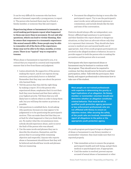It can be very difficult for someone who has been abused or harassed, especially a young person, to report it. The person who harmed them may be a friend, a family member, or someone they like and respect.

**Experiencing abuse or harassment is traumatic, so avoid making participants repeat what happened to them any more than is necessary. Do not ask why questions, which can lead to victim-blaming. Also be aware that responses to a traumatic experience like sexual assault differ. Some people may be able to remember all of the facts of the experience. Some may not be able to for days, months, or even years. There is no "typical" way to respond to trauma.**

When abuse or harassment is reported to you, it is critical that you respond in a neutral and responsible manner that is free from blame and judgment.

- **•** Listen attentively. Be supportive of the person making the report, and do not express strong emotions, particularly horror or disbelief. Remember that they may care about the person who harmed them.
- **•** Tell the person that they did the right thing by making a report. If it is the person who experienced abuse, emphasize that it is not their fault they were harmed and that their safety is your highest priority. Tell them that you will likely have to inform others in order to keep them safe, but you will keep the matter as private as possible.
- **•** Ask questions to establish facts. Avoid asking why questions, because you may appear to be judgmental or to be questioning the participant's motives. This can make them feel that they are at fault for what happened or that you think they are. No matter what the circumstances were, nobody should experience abuse, and it is never the fault of the person who was abused.
- **•** Use the same words and phrases they use to describe the situation, themselves, and the person they're accusing while remaining objective and respectful. Anyone who reports abuse or harassment should know that they will be believed and should hear words and phrases that are reassuring.

**•** Document the allegation during or soon after the participant's report. Try to use the participant's exact words, never add personal opinions or commentary, and include details like the date and time of the conversation.

Districts should always offer an independent, non-Rotary-affiliated legal assistance to participants and their families who report abusive or dangerous situations, so they have an advocate whose only duty is to represent their interests. They should also have access to medical care and mental health care if appropriate. And, if two youth program participants are involved in the alleged incident or behavior, be sure to provide support to both the person who is making the accusation and the person who is accused.

Participants who have experienced abuse or harassment may be hesitant to continue with the program. They should never be required to continue, but they should never be forced to end their participation, either. Talk with the participant, their family, and support professionals to determine how to take care of the student.

**Most people are not trained professionals with expertise in determining the gravity or legal implications of an allegation. No Rotary member or nonmember volunteer should ever determine whether an allegation constitutes criminal behavior. That must be left to qualified youth protection agency personnel or law enforcement professionals who are not affiliated with Rotary to ensure an objective review. After securing the safety of the youth who are involved, immediately report all allegations to the police or the appropriate youth protection agency.** 

If a youth program participant brings an allegation of abuse or harassment to any Rotary member or nonmember volunteer, they must make sure that it is reported properly.

- **•** Take immediate action to ensure the program participant's health and well-being, and get them medical or psychological care, if appropriate.
- **•** Until the matter is resolved, prevent anyone accused of sexual abuse or harassment or other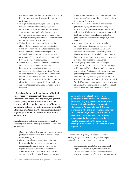serious wrongdoing, including other youth, from having any contact with any youth program participants.

- **•** Promptly report every suspicion or allegation of abuse or harassment to the proper law enforcement agency (child protection, social services, and local police) for investigation. In some countries, reporting is required by law. Any legal authority that reviews the matter must not be affiliated with Rotary in any way.
- **•** Follow district policy on notifying specific club or district leaders, such as the district youth protection officer and district governor, when abuse or harassment is alleged. All adult volunteers, program participants, and participants' parents or legal guardians should have their contact information.
- **•** Report all allegations of abuse or harassment and other serious incidents, including hospitalizations, serious crimes, early returns, and deaths, to RI headquarters within 72 hours of learning about them, even if not all incident details are confirmed. Prompt notification helps ensure proper handling of the incident or allegation in accordance with Rotary policy and can facilitate communication between partner districts.

**If there is sufficient evidence that an individual, club, or district has knowingly failed to report an incident or allegation as required, the general secretary may determine whether — and the extent to which — involved parties are eligible to participate in Rotary's youth programs, or whether additional sanctions may be necessary, including requiring the club to terminate an individual's membership.** 

During the independent investigation, protect the safety of youth and the privacy of both the accuser and the accused.

- **•** Cooperate fully with law enforcement and youth protection agencies and do not interfere with their investigation.
- **•** Consult social service agencies to discuss local standards and resources that support program participants who are involved in, report, or experience abuse or harassment. Refer participants to a non-Rotary counselor who can provide them professional emotional

support. Ask social services or law enforcement to recommend someone who is not involved with the program in any way.

- **•** Contact the involved program participants' parents or legal guardians immediately to inform them of the allegation and the actions being taken. Clubs and districts are encouraged to obtain written parental approval for the participants to remain in the program, if they wish to.
- **•** At times, a program participant may be uncomfortable with conduct that may not be legally defined as harassment, and law enforcement may decline to investigate an allegation. Any unwelcome behavior of a sexual, harassing, or violent nature is unacceptable even if it is not determined to be criminal.
- **•** Avoid gossip and blame. Don't tell anyone about the allegation other than those that legal guidelines and RI and district policies require you to inform. Avoid speculation and minimize personal opinions, all of which can interfere with police or legal investigations and violate Rotary's Statement of Conduct for Working With Youth. Comments made about someone who has allegedly abused someone or been abused could also lead to a defamation claim or lawsuit.

**After making an allegation, a program participant is likely to feel embarrassed or confused. They may become withdrawn and have mixed feelings about continuing in the program. For example, Youth Exchange participants who make an allegation may want to stay in the program but not continue their relationship with their host club. Although members and other volunteers may have trouble understanding the participant's feelings, it is usually best to honor such wishes if possible.**

After the investigation, it may be necessary to strengthen your district's youth protection policy or take other action to prevent recurrences.

**•** A club must terminate the membership of anyone who admits to, is convicted of, or is otherwise known to have engaged in sexual abuse or harassment of youth or youth program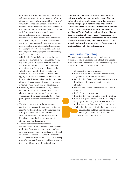participants. Former members and non-Rotary volunteers who admit to, are convicted of, or are otherwise known to have engaged in any form of sexual abuse or sexual harassment or other act that violates the accepted standard of behavior in the community must be prohibited from working with Rotary youth program participants.

- **•** If a law enforcement investigation is inconclusive, or if law enforcement declines to investigate, the person who was accused may continue as a program volunteer at the district's discretion. However, additional safeguards are necessary to protect both the person named in the allegation and any program participant they may have contact with.
- **•** Additional safeguards for program volunteers can include limiting or suspending their roles, depending on the allegation's circumstances. For example, districts may allow a volunteer to participate in the program only when other volunteers can monitor their behavior and determine whether further prohibitions are appropriate. Each district should consider the local standard of care and review the practices of other youth-serving organizations in its area to determine what safeguards are appropriate.
- **•** Continuing as a volunteer is not a right and is not guaranteed. Additional claims of sexual abuse or harassment against the same person will prohibit them from working with program participants, even if criminal charges are not filed
- **•** The district must review the situation to confirm that youth protection was the highest priority, verify compliance with all district and Rotary policies, and recommend changes to avoid future issues. The district governor and, if applicable, the district review committee, should supervise this review.
- **•** All districts are required to maintain confidential records of any person who has been prohibited from having contact with youth, or anyone whose membership has been terminated as a result of abuse or harassment. Work with district leaders to determine the best way to keep this information in line with local laws to ensure these prohibitions are enforced each year.

**People who have been prohibited from contact with youth also may not serve in club or district roles where they might supervise or have contact with youth program participants, such as club Youth Service chair, district Interact chair, district Rotary Youth Leadership Awards (RYLA) chair, or district Youth Exchange officer. Club or district leaders who have been accused of harassment or abuse must be suspended from these roles until the matter is resolved. They may be reinstated at the district's discretion, depending on the outcome of an investigation by law enforcement.**

# **Barriers to Reporting**

The decision to report harassment or abuse is a personal decision, and it can be a difficult one. People who have experienced such violations may not report it for a number of reasons. Those can include:

- **•** Shame, guilt, or embarrassment
- Fear that there will be negative consequences, especially if they broke a rule or law
- **•** Fear that the offender will retaliate against them
- **•** Emotional or financial dependence on the offender
- **•** Not wanting someone they care about to get into trouble
- **•** Lack of resources or support
- **•** Fear that they will be expelled from the program
- **•** Fear that they will not be believed, especially if the perpetrator is in a position of authority or well-respected in Rotary or in the community
	- **•** Belief that they consented to the interaction or relationship and thus didn't experience abuse (this is sometimes a result of manipulation by the abuser)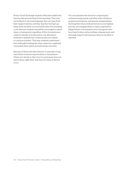Rotary Youth Exchange students often have additional barriers that prevent them from reporting: They may not be fluent in the local language, they are away from their support system, and they may fear having to go home if the incident occurred while they were breaking a rule. Because students should be encouraged to report abuse or harassment regardless of the circumstances, a district should, at its discretion, use alternative methods to address rule violations that are related to a serious incident. That way, students understand that, although breaking the rules cannot be completely overlooked, their safety and well-being come first.

Because of these and other barriers, it may take a long time before someone reports abuse or harassment if they ever decide to. But even if a participant does not report abuse right away, that does not mean it did not occur.

You can minimize the barriers to reporting by communicating openly and often with volunteers, program participants, and parents and guardians, showing them that youth protection is your highest priority, encouraging them to report suspected or alleged abuse or harassment even if program rules have been broken, and providing compassionate and thorough support and response when an incident is reported.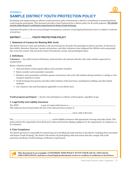# **APPENDIX A SAMPLE DISTRICT YOUTH PROTECTION POLICY**

Developing and implementing an effective youth protection policy demonstrates a district's commitment to protecting Rotary youth program participants. This document provides a basic framework for a district policy for all youth programs. The shaded sections reflect Rotary's certification requirements for Rotary Youth Exchange.

Customize this policy to fit your local and legal circumstances, and have a local legal professional review to confirm it conforms to local laws.

# **DISTRICT YOUTH PROTECTION POLICY**

# **1. Statement of Conduct for Working With Youth**

The district strives to create and maintain a safe environment for all youth who participate in Rotary activities. To the best of their ability, Rotarians, Rotarians' spouses and partners, and other volunteers must safeguard the children and young people they come into contact with and protect them from physical, sexual, and psychological abuse.

# **2. Definitions**

**Volunteer —** Any adult involved with Rotary youth activities who interacts directly with youth, whether supervised or unsupervised.

Rotary volunteers include:

- Club and district youth program officers and committee members
- Rotary member and nonmember counselors
- Members and nonmembers and their spouses and partners who work with students during activities or outings or who transport students to events
- Youth Exchange host parents and other adult residents of the host home, including host siblings and other family members
- List volunteer roles and descriptions applicable to your district here:

# **Youth program participant —** Anyone who participates in a Rotary youth program, regardless of age.

# **3. Legal Entity and Liability Insurance**

is part of a legal entity known as  $\equiv$ This entity has been formed under the laws of the state/province/country of The district

on and is valid at this time.

The carries liability insurance with appropriate coverage and policy limits. This policy protects the organization from third-party claims and lawsuits alleging negligence by the organization, its employees, or its volunteers.

#### **4. Club Compliance**

The district governor is responsible for supervising and controlling all youth activities in the district, including those associated with Rotary Youth Exchange. The district will monitor all participating clubs and ensure that they comply with youth protection and Rotary Youth Exchange certification requirements.

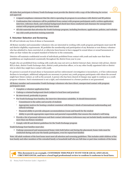All clubs that participate in Rotary Youth Exchange must provide the district with a copy of the following for review and approval:

- A signed compliance statement that the club is operating its program in accordance with district and RI policies
- Confirmation that volunteers will be prohibited from contact with program participants until a written application, interview, reference check, and criminal background check have been conducted and clearance for unsupervised contact with program participants has been issued
- All club materials that advertise the Youth Exchange program, including brochures, applications, policies, and websites
- Any club youth protection training materials

#### **5. Volunteer Selection and Screening**

RI will not tolerate any form of abuse or harassment.

All Rotary member and nonmember volunteers who are interested in working with youth program participants must meet RI and district eligibility requirements. RI prohibits the membership and participation of any Rotarian or non-Rotary volunteer who has admitted to, been convicted of, or otherwise been known to have engaged in sexual abuse or sexual harassment or other act that violates the accepted standard of behavior in the community.

Districts will maintain confidential records of individuals prohibited from contact with youth and make sure that these prohibitions are implemented consistently throughout the district from year to year.

People who are prohibited from working with youth also may not serve as district Interact chair, Interact club adviser, district RYLA chair, district Youth Exchange chair, district youth protection officer, or in any other locally appointed club or district role in which they might have contact with youth.

If a person is accused of sexual abuse or harassment and law enforcement's investigation is inconclusive, or if law enforcement declines to investigate, additional safeguards are necessary to protect any youth program participants with whom the accused might have future contact, as well as the accused. A person who has been cleared of charges may apply to continue as a youth program volunteer. Such reinstatement is not a right, and reinstatement to a former position is not guaranteed.

All Rotary member and nonmember Youth Exchange volunteers who have direct, unsupervised contact with program participants must:

- Complete a volunteer application form
- Undergo a criminal background check (subject to local laws and practices)
- Be interviewed, preferably in person
- For Youth Exchange host families, the interview determines suitability. It should demonstrate:
	- Commitment to the safety and security of students
	- Appropriate motives for hosting a student consistent with Rotary's ideals of international understanding and cultural exchange
	- Financial ability to provide adequate accommodations (room and board) for the student
	- Ability to provide appropriate supervision and parental responsibility that ensures the student's well-being
- Provide a list of personal references and their contact information (references may not include family members and no more than one Rotary member)
- Comply with RI and district guidelines for the Youth Exchange program

Youth Exchange host families must also:

• Undergo announced and unannounced home visits both before and during the placement; home visits must be conducted during each year the family participates, even for repeat host families

Note: All adult residents of the host home must meet all selection and screening guidelines. This includes adult children of the host family and other members of the extended family or household staff who are full-time or part-time residents of the home.

**This document is an example. CUSTOMIZE THIS POLICY TO FIT YOUR LOCAL AND LEGAL CIRCUMSTANCES, and have a local legal professional review to confirm it conforms to local laws.**

all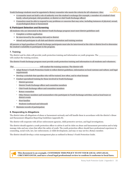Youth Exchange students must be appointed a Rotary counselor who meets the criteria for all volunteers. Also:

- A counselor must not hold a role of authority over the student's exchange (for example, a member of a student's host family, school principal, club president, or district or club Youth Exchange officer)
- Counselors must be able to respond to any problems or concerns that may arise, including instances of physical, sexual, or psychological abuse or harassment

#### **6. Participant Selection and Screening**

All students who are interested in the district Youth Exchange program must meet district guidelines and:

- Complete a written application
- Be interviewed by the sending club and/or district
- Attend and participate in all club and district orientation and training sessions

All parents or legal guardians of Youth Exchange participants must also be interviewed at the club or district level to determine the student's suitability to participate in the program.

# **7. Training**

The district and its clubs will provide youth protection training and information on youth programs. The will conduct the training sessions.

The district Youth Exchange program must provide youth protection training and information to all students and volunteers.

The will conduct the training sessions. The district will:

- Adapt Rotary's Youth Protection Guide to reflect district guidelines, information on local customs and culture, and legal requirements
- Develop a schedule that specifies who will be trained, how often, and in what formats
- Conduct specialized training for those involved in Youth Exchange:
	- District governor
	- District Youth Exchange officer and committee members
	- Club Youth Exchange officer and committee members
	- Rotary counselors
	- Other Rotary members and nonmembers who participate in Youth Exchange activities, such as local tours or district events
	- Host families
	- Students (outbound and inbound)
- Maintain records of participation

# **8. Responding to Allegations**

The district takes all allegations of abuse or harassment seriously and will handle them in accordance with the district's Abuse and Harassment Allegation Reporting Guidelines (appendix B).

The district will cooperate with all law enforcement agencies, child protective services, and legal investigations.

The district should appoint a youth protection officer to advise it and its clubs on abuse and harassment prevention and to help manage risks and any crises that affect the safety of youth. The youth protection officer should have professional experience in counseling, social work, law, law enforcement, or child development, and may or may not be a Rotary member.

The district should develop a crisis management plan as outlined in Rotary's Youth Protection Guide.

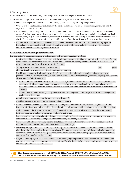

# **9. Travel by Youth**

Youth travel outside of the community must comply with RI and district youth protection policies.

For all youth travel sponsored by the district or its clubs, before departure, the host district must:

- Obtain written permission from the parents or legal guardians of all youth program participants
- Give parents or legal guardians details about the travel, including locations, accommodations, itineraries, and the organizer's contact information
- Recommended but not required: when traveling more than 150 miles, or 240 kilometers, from the home residence or out of the home country, verify that program participants have adequate insurance, including benefits for medical service, emergency medical evacuation, repatriation of remains, and legal liability in amounts satisfactory to the club or district that is organizing the activity or event, with coverage from the participants' departure until their return
- In addition, for Youth Exchange travel outside of students' host communities or that is not customarily a part of the exchange program, either with their host families or to attend Rotary events, the host district shall receive authorization from the sending district in advance

#### **10. District Youth Exchange Administration**

The district Youth Exchange program, in collaboration with participating clubs, must also:

- Confirm that all inbound students have at least the minimum insurance that is required by the Rotary Code of Policies (Because the host district must be able to arrange immediate and emergency medical attention when it is needed, it must be satisfied that the student's coverage is adequate)
- Store participant and volunteer records securely at  $\blacksquare$ after participation, in accordance with all applicable privacy laws
- Provide each student with a list of local services (rape and suicide crisis hotlines; alcohol and drug awareness programs; relevant law enforcement agencies; Lesbian, Gay, Bisexual, Transgender, Queer services; etc.). This list must also include the following contacts:
	- For inbound students: host Rotary counselor, host club president, host district Youth Exchange chair, host district governor, and at least two nonmember resource people (one male and one female) who are not related to each other and do not have close ties to the host families or the Rotary counselor and who can help the students with any problems
	- For outbound students: sending Rotary counselor, sending club president, sending district Youth Exchange chair, sending district governor
- Complete an annual survey reporting on program activity for RI
- Provide a 24-hour emergency contact phone number to students
- Report all incidents (including abuse or harassment allegations, accidents, crimes, early returns, and death) that involve Youth Exchange students to RI staff [\(youthprotection@rotary.org](mailto:youthprotection@rotary.org)) within 72 hours of learning of the incident
- Prohibit any unauthorized exchange activity, such as sending a student on exchange outside of the Rotary Youth Exchange program or outside of the district certification structure
- Develop contingency hosting plans that list prescreened families. Establish the criteria and procedures for removing a student from the host family. Arrange for temporary contingent housing in advance.
- Ensure that all hosting is voluntary. Parents of outbound students and club members must not be required to host inbound students as a condition of sending students on an exchange.
- Have long-term program participants stay with multiple host families, if possible. It is recommended that they be placed with three host families during their exchange. If circumstances prevent multiple host family placements, the sending and the host district must agree and must inform the student's parent or legal guardian in advance. At least one backup host family must be available.
- Request a monthly report from each inbound and outbound program participant that includes information on their current hosts, feelings, concerns, ideas, and suggestions. The district Youth Exchange committee can review the reports and assist program participants as needed.

all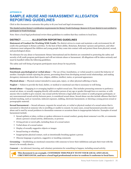# **APPENDIX B SAMPLE ABUSE AND HARASSMENT ALLEGATION REPORTING GUIDELINES**

Click in this document to customize this policy to fit your local and legal circumstances.

The shaded section Rotary's certification requirements for Rotary Youth Exchange. Remove it if your district is not certified to participate in Youth Exchange.

Note: Have a local legal professional review these guidelines to confirm that they conform to local laws.

# **DISTRICT ALLEGATION REPORTING GUIDELINES**

**Statement of Conduct for Working With Youth:** The district strives to create and maintain a safe environment for all youth who participate in Rotary activities. To the best of their ability, Rotarians, Rotarians' spouses and partners, and other volunteers must safeguard the children and young people they come into contact with and protect them from physical, sexual, and psychological abuse.

No tolerance for any abuse or harassment: Rotary International and its districts are committed to protecting the safety and security of all youth program participants and will not tolerate abuse or harassment. All allegations will be taken seriously and must be handled within the following guidelines.

The safety and well-being of program participants must always be top priority.

#### **Definitions**

**Emotional, psychological or verbal abuse —** The use of fear, humiliation, or verbal assault to control the behavior of another. Examples include rejecting the person, preventing them from developing normal social relationships, and making derogatory statements about their race, religion, abilities, intellect, tastes, or personal appearance.

**Physical abuse —** Physical contact intended to cause pain, injury, or other physical suffering or harm.

**Neglect —** Failure to provide the food, shelter, or medical or emotional care that is necessary to well-being.

**Sexual abuse —** Engaging in or arranging implicit or explicit sexual acts. This includes pressuring someone to perform a sexual act alone, or sexually engaging directly with another person of any age or gender through force or coercion, or with anyone who is unable to give consent. Any sexual activity between a legal adult and a minor or youth program participant, or any nonconsensual sexual activity between peers, is considered sexual abuse. Sexual abuse can also include offenses that don't include touching, such as voyeurism, indecent exposure, stalking, electronic harassment, or showing a young person sexual or pornographic material.

**Sexual harassment** — Sexual advances, requests for sexual acts, or verbal or physical conduct of a sexual nature that is unwanted or directed at someone who is unwilling or unable to consent. In some cases, sexual harassment precedes sexual abuse and is used by sexual predators to desensitize someone or accustom them to inappropriate behavior. Examples of sexual harassment include:

- Sexual epithets or jokes, written or spoken references to sexual conduct, gossip about someone's sex life, or comments about a person's sexual activity, deficiencies, or prowess
- Giving private or secret gifts, including those of a sexual nature
- Verbal abuse of a sexual nature
- Display of sexually suggestive objects or images
- Sexual leering or whistling

all

- Inappropriate physical contact, such as intentionally brushing against a person
- Obscene language or gestures, suggestive or insulting comments

**Grooming —** Establishing an emotional connection with someone to lower their inhibitions and gain their trust with the intent to be sexually abusive.

**Consent —** An informed, knowing, and voluntary permission for something to happen, including sexual activity.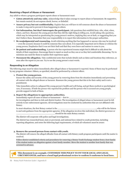

#### **Receiving a Report of Abuse or Harassment**

Any adult to whom a program participant reports abuse or harassment must:

- **Listen attentively and stay calm.** Acknowledge that it takes courage to report abuse or harassment. Be supportive, but remain neutral; do not express shock, horror, or disbelief.
- **Assure privacy but not confidentiality.** Explain that you will have to tell someone about the abuse or harassment to make it stop and to prevent it from happening to others.
- **Get information, but don't interrogate the participant.** Ask questions that establish facts: who, what, when, where, and how. Reassure the young person that they did the right thing in telling you. Avoid asking why questions, which may be interpreted as questioning the young person's motives, implying they are at fault, or suggesting that you don't believe them. Remember that your responsibility is to report this information to the proper authorities.
- **Be nonjudgmental and reassuring.** Avoid criticizing anything that has happened or anyone who may be involved — even the accused, because it could be someone they care about. It is especially important not to blame or criticize the young person. Emphasize that it was not their fault and that they were brave and mature to come to you.
- **Be patient and understanding.** A person who has experienced trauma might find it difficult to talk about the details of their experience. Encourage them to report as much as they can or as they feel comfortable discussing. Try to minimize any need for them to explain their experience again.
- **Document the allegation.** Take confidential notes that include details such as dates and locations they reference, as soon after the report as you can. Try to use the young person's exact words.

#### **Responding to an Allegation**

The following steps must be taken immediately after alleged abuse or harassment is reported. Some of them may be performed by any program volunteer. Others, as specified, should be performed by a district officer.

#### **1. Protect the young person.**

Ensure the safety and security of the young person by removing them from the situation immediately and preventing all contact with the alleged abuser or harasser. Reassure the young person that this is for their safety and is not a punishment.

Take immediate action to safeguard the young person's health and well-being, and get them medical or psychological care, if necessary. If both the person who reported the problem and the person who is accused are young people, provide support to both of them.

#### **2. Report the allegations to appropriate authorities.**

Immediately report all cases of abuse or harassment — first to

for investigation and then to club and district leaders. The investigation of alleged abuse or harassment must be left entirely to law enforcement agencies. All investigations must be conducted by authorities that are not affiliated with Rotary.

In most situations, the first Rotary contact is the  $\Box$ to and seek guidance from the appropriate agencies. If the allegation involves this individual, the district governor or should be the main Rotary contact.

The district will cooperate with police and legal investigations.

The district has researched local, state or provincial, and national laws related to youth protection, including reporting allegations, and notes the following legal requirements, of which all volunteers must be aware:

#### **3. Remove the accused person from contact with youth.**

The district will remove the alleged offender from all contact with Rotary youth program participants until the matter is resolved.

Follow district-established criteria and procedures for removing a Rotary Youth Exchange student from a host family if the student makes an allegation against a host family member. Move the student to another host family that was screened in advance.

1II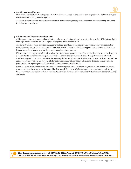#### **4. Avoid gossip and blame.**

Do not tell anyone about the allegation other than those who need to know. Take care to protect the rights of everyone who is involved during the investigation.

The district maintains the privacy (as distinct from confidentiality) of any person who has been accused by enforcing the following procedures:

#### **5. Follow up and implement safeguards.**

All Rotary member and nonmember volunteers who know about an allegation must make sure that RI is informed of it within 72 hours. A district officer will provide ongoing status reports to RI.

The district will also make sure that the parents or legal guardians of the participants (whether they are accused or making the accusation) have been notified. The district will refer all involved young persons to an independent, non-Rotary counselor who can provide them professional emotional support

If law enforcement agencies will not investigate, or if the investigation is inconclusive, the district governor will appoint a committee to coordinate an independent review to ensure that district youth protection policies were followed, confirm that youth safety was treated as the highest priority, and determine whether any changes to district procedures are needed. This review is not responsible for determining the validity of any allegations. That can be done only by youth protection agency personnel or trained law enforcement professionals.

When the district is notified of the outcome of any investigation by law enforcement, whether criminal or not, it will contact everyone involved in the incident. The district will document all allegations and accusations, as well as the final outcome and the actions taken to resolve the situation. Patterns of inappropriate behavior must be identified and addressed.

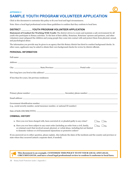# **APPENDIX C SAMPLE YOUTH PROGRAM VOLUNTEER APPLICATION**

Click in this document to customize this policy to fit your local and legal circumstances.

Note: Have a local legal professional review these guidelines to confirm that they conform to local laws.

# **DISTRICT YOUTH PROGRAM VOLUNTEER APPLICATION**

**Statement of Conduct for Working With Youth:** The district strives to create and maintain a safe environment for all youth who participate in Rotary activities. To the best of their ability, Rotarians, Rotarians' spouses and partners, and other volunteers must safeguard the children and young people they come into contact with and protect them from physical, sexual, and psychological abuse.

The information you provide may be given to an agency that this Rotary district has hired to conduct background checks. In other cases, applicants may be asked to obtain their own background checks for review by district officials.

# **PERSONAL INFORMATION**

|                                                    | Address: The contract of the contract of the contract of the contract of the contract of the contract of the contract of the contract of the contract of the contract of the contract of the contract of the contract of the c                                            |                      |  |
|----------------------------------------------------|---------------------------------------------------------------------------------------------------------------------------------------------------------------------------------------------------------------------------------------------------------------------------|----------------------|--|
|                                                    |                                                                                                                                                                                                                                                                           |                      |  |
|                                                    |                                                                                                                                                                                                                                                                           |                      |  |
| If less than five years, list previous residences: |                                                                                                                                                                                                                                                                           |                      |  |
|                                                    |                                                                                                                                                                                                                                                                           |                      |  |
|                                                    |                                                                                                                                                                                                                                                                           |                      |  |
|                                                    |                                                                                                                                                                                                                                                                           |                      |  |
|                                                    |                                                                                                                                                                                                                                                                           |                      |  |
|                                                    | (e.g., social security number, social insurance number, or national ID number)                                                                                                                                                                                            |                      |  |
|                                                    |                                                                                                                                                                                                                                                                           |                      |  |
| <b>CRIMINAL HISTORY</b>                            |                                                                                                                                                                                                                                                                           |                      |  |
|                                                    | 1. Have you ever been charged with, been convicted of, or pleaded guilty to any crime?                                                                                                                                                                                    | $\Box$ Yes $\Box$ No |  |
|                                                    | 2. Have you ever been subject to any court order (including an order from a civil, family,<br>or criminal court) that involved sexual, physical, or verbal abuse, including but not limited<br>to domestic violence or civil harassment injunctions or protective orders? | $\Box$ Yes $\Box$ No |  |
|                                                    | If you answered yes to either question, please explain. Also indicate the dates of the incidents and the country and province or<br>state where they occurred (attach a separate sheet, if needed).                                                                       |                      |  |
|                                                    |                                                                                                                                                                                                                                                                           |                      |  |
|                                                    |                                                                                                                                                                                                                                                                           |                      |  |

**This document is an example. CUSTOMIZE THIS POLICY TO FIT YOUR LOCAL AND LEGAL CIRCUMSTANCES, and have a local legal professional review to confirm it conforms to local laws.**

 $\blacksquare$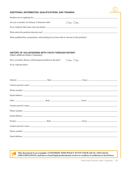# **ADDITIONAL INFORMATION, QUALIFICATIONS, AND TRAINING**

| Are you a member of a Rotary or Rotaract club?                                                | $\Box$ Yes $\Box$ No |  |
|-----------------------------------------------------------------------------------------------|----------------------|--|
|                                                                                               |                      |  |
|                                                                                               |                      |  |
| What qualifications, preparation, and training do you have that is relevant to this position? |                      |  |
|                                                                                               |                      |  |
| HISTORY OF VOLUNTEERING WITH YOUTH THROUGH ROTARY<br>(Attach additional sheets if necessary)  |                      |  |
| Have you held a Rotary youth program position in the past?                                    | $\Box$ Yes $\Box$ No |  |
| If yes, indicate below:                                                                       |                      |  |
|                                                                                               |                      |  |
|                                                                                               |                      |  |
|                                                                                               |                      |  |
|                                                                                               |                      |  |
|                                                                                               |                      |  |
|                                                                                               |                      |  |
|                                                                                               |                      |  |
|                                                                                               |                      |  |
|                                                                                               |                      |  |
|                                                                                               |                      |  |
|                                                                                               |                      |  |
|                                                                                               |                      |  |
|                                                                                               |                      |  |
|                                                                                               |                      |  |

**This document is an example. CUSTOMIZE THIS POLICY TO FIT YOUR LOCAL AND LEGAL CIRCUMSTANCES, and have a local legal professional review to confirm it conforms to local laws.**

 $\mathbf{q}$ п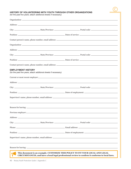

#### **HISTORY OF VOLUNTEERING WITH YOUTH THROUGH OTHER ORGANIZATIONS**

(for the past five years; attach additional sheets if necessary)

| <b>EMPLOYMENT HISTORY</b>                        | (for the past five years; attach additional sheets if necessary)               |                                                                                                 |
|--------------------------------------------------|--------------------------------------------------------------------------------|-------------------------------------------------------------------------------------------------|
|                                                  |                                                                                |                                                                                                 |
|                                                  |                                                                                | Address:                                                                                        |
|                                                  |                                                                                |                                                                                                 |
|                                                  |                                                                                |                                                                                                 |
|                                                  |                                                                                |                                                                                                 |
|                                                  |                                                                                |                                                                                                 |
|                                                  |                                                                                |                                                                                                 |
|                                                  |                                                                                |                                                                                                 |
|                                                  |                                                                                |                                                                                                 |
|                                                  |                                                                                |                                                                                                 |
|                                                  |                                                                                |                                                                                                 |
|                                                  |                                                                                |                                                                                                 |
|                                                  |                                                                                |                                                                                                 |
| <b>AII</b>                                       | This document is an example. CUSTOMIZE THIS POLICY TO FIT YOUR LOCAL AND LEGAL | CIRCUMSTANCES, and have a local legal professional review to confirm it conforms to local laws. |
| Rotary Youth Protection Guide   Appendix C<br>40 |                                                                                |                                                                                                 |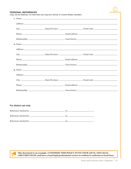#### **PERSONAL REFERENCES**

(may not be relatives; no more than one may be a former or current Rotary member)

| For district use only: |  |  |
|------------------------|--|--|
|                        |  |  |
|                        |  |  |
|                        |  |  |

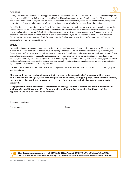# **CONSENT**

I certify that all of the statements in this application and any attachments are true and correct to the best of my knowledge and that I have not withheld any information that would affect this application unfavorably. I understand that District \_\_\_\_\_\_ will deny a volunteer position to anyone who has been convicted of a crime of violence, sexual abuse, or harassment, or any other crime of a sexual nature and may deny a volunteer position to anyone who has been charged with these crimes.

I give District \_\_\_\_\_\_ permission to verify the information in this application, including by reviewing the public records that I have provided, which are duly certified, or by searching law enforcement and other published records (including driving records and criminal background checks) in addition to contacting my former employers and the references I provided. I understand that this information will be used in part to determine my eligibility for a volunteer position. I also understand that as long as I remain a volunteer, this information may be checked again at any time. I understand that I will have an opportunity to review my criminal history.

#### **WAIVER**

In consideration of my acceptance and participation in Rotary youth programs, I, to the full extent permitted by law, hereby release, defend, hold harmless, and indemnify participating Rotary clubs, Rotary districts, multidistrict organizations, and their members, officers, directors, committee members, agents, and employees, and Rotary International, its directors, officers, committee members, employees, agents, and representatives ("Indemnitees") from any or all liability for any claim, loss, damages, liabilities, expenses, bodily injury, or death, including any such liability that may arise out of the negligence of any of the Indemnitees or may be suffered or claimed by me as a result of an investigation of, action concerning, or communication of my background in connection with this application.

I further agree to conform to the rules, regulations, and policies of Rotary International, the District \_\_\_\_\_\_ youth program, and its affiliates.

**I hereby confirm, represent, and warrant that I have never been convicted of or charged with a violent crime, child abuse or neglect, child pornography, child abduction, kidnapping, rape, or other sexual offense, nor have I ever been ordered by a court to receive psychiatric or psychological treatment in connection therewith.**

**If any provision of this agreement is determined to be illegal or unenforceable, the remaining provisions shall remain in full force and effect. By signing this application, I acknowledge that I have read this application and fully understand its contents.** 

Signature of applicant:

Printed name: Date:

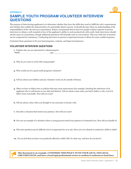# **APPENDIX D SAMPLE YOUTH PROGRAM VOLUNTEER INTERVIEW QUESTIONS**

The purpose of interviewing applicants is to determine whether they have the skills they need to fulfill the role's requirements and whether they exhibit the characteristics of a potentially abusive person. It should also give them an understanding of the responsibilities of the role and your expectations. Rotary recommends that at least two people conduct separate in-person interviews to obtain a well-rounded review of the applicant's ability to work productively with youth. Each interviewer should ask the same set of questions, though additional questions will naturally arise in conversation. This way, both sets of answers can be compared for consistency. Conducting interviews in person is important because it allows for more candid responses.

Customize these questions to fit your local programs, customs, and legal circumstances.

# **VOLUNTEER INTERVIEW QUESTIONS**

- **1.** Explain why you are interested in volunteering for \_\_\_\_\_\_\_\_\_\_\_\_\_\_\_\_\_\_\_\_\_\_\_\_\_\_\_ and \_\_\_\_\_\_\_\_\_\_\_\_\_\_\_\_\_\_\_\_\_\_\_\_\_\_\_\_\_\_\_\_\_\_\_\_\_\_\_\_\_\_\_\_\_\_\_\_\_\_\_. Interact
- **2.** Why do you want to work with young people?
- **3.** Why would you be a good youth programs volunteer?
- **4.** Tell me about your hobbies and any volunteer work you do outside of Rotary.
- **5.** Often we have to follow laws or policies that may seem unnecessary (for example, checking the references of an applicant who is well-known to our club and district). Tell me about a time when you had to follow a rule, even if it didn't seem reasonable. How did you react?
- **6.** Tell me about a time when you thought it was necessary to break a rule.
- **7.** Describe a situation that tested your patience. How did you react?
- **8.** Give me an example of a situation where a young person tested your patience or frustrated you. How did you handle it?
- **9.** This next question may be difficult, but it is important for us to ask. Have you ever abused or molested a child or adult?
- **10.** Do you feel that you have ever positively affected a child's life? In what way, and how do you know?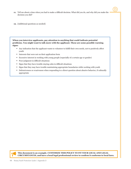- **11.** Tell me about a time when you had to make a difficult decision. What did you do, and why did you make the decision you did?
- **12.** [Additional questions as needed]

**When you interview applicants, pay attention to anything that could indicate potential problems. You might want to talk more with the applicant. These are some possible warning signs:**

- Any indication that the applicant wants to volunteer to fulfill their own needs, not to positively affect youth
- Interests that were not on their application form
- Excessive interest in working with young people (especially of a certain age or gender)
- Poor judgment in difficult situations
- Signs that they have trouble staying calm in difficult situations
- Signs that they may have trouble maintaining appropriate boundaries while working with youth
- Defensiveness or evasiveness when responding to a direct question about abusive behavior, if culturally appropriate



dil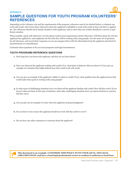#### **APPENDIX E**

# **SAMPLE QUESTIONS FOR YOUTH PROGRAM VOLUNTEERS' REFERENCES**

Depending on the volunteer role and the requirements of the program, references need to be checked before a volunteer can work with youth. Ask at least three references about the applicant's suitability to work with youth in their role they've applied for. The references should not be family members of the applicant, and no more than one of them should be a current or past Rotary member.

When possible, speak with references over the phone (unless local requirements advise otherwise). Tell them about the role the applicant has applied for, and emphasize the fact that they will be working with young people. Use the same set of questions for all references, and record their responses so you can compare them with the information from the applicant and check for inconsistencies or contradictions.

Customize these questions to fit your local programs and legal circumstances.

# **YOUTH PROGRAMS REFERENCE QUESTIONS**

- **1.** How long have you known the applicant, and how do you know them?
- **2.** Have you observed the applicant working with youth? If so, what kinds of behavior did you observe? If not, give an example of a situation that might indicate how they would work with youth.
- **3.** Can you give an example of the applicant's ability to relate to youth? If not, what qualities does the applicant have that would make them good at working with young people?
- **4.** In what types of challenging situations have you observed the applicant dealing with youth? How did they react? If you haven't observed them in this type of situation, what other challenging situations have you observed them in, and how did they react?
- **5.** Can you give me an example of a time when the applicant used good judgment?
- **6.** Do you know of any reason the applicant should not work with the youth we serve?
- **7.** Do you have any other comments or concerns about the applicant?

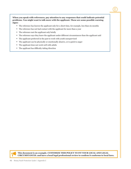**When you speak with references, pay attention to any responses that could indicate potential problems. You might want to talk more with the applicant. These are some possible warning signs:**

- The reference has known the applicant only for a short time, for example, less than six months
- The reference has not had contact with the applicant for more than a year
- The reference met the applicant only briefly
- The reference says they knew the applicant under different circumstances than the applicant said
- The applicant preferred in the past to work with youth unsupervised
- The applicant can be physically or emotionally abusive, or is quick to anger
- The applicant does not work well with adults
- The applicant has difficulty taking direction

**This document is an example. CUSTOMIZE THIS POLICY TO FIT YOUR LOCAL AND LEGAL CIRCUMSTANCES. and have a local legal professional review to confirm it conforms to local laws.**

**III**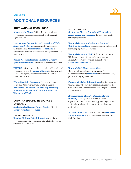# **APPENDIX F**

# **ADDITIONAL RESOURCES**

# **INTERNATIONAL RESOURCES**

**[Advocates for Youth.](http://advocatesforyouth.org)** Publications on the rights of youth and the responsibilities of youth-serving organizations

**[International Society for the Prevention of Child](http://ispcan.org)  [Abuse and Neglect](http://ispcan.org).** Abuse prevention resources, includin[g contact](http://www.ispcan.org/?page=Partner_Program) **[information for partners](http://www.ispcan.org/?page=Partner_Program)** in several countries and a searchable listing of worldwide publications

**[Sexual Violence Research Initiative.](http://svri.org) [Country](http://www.svri.org/documents/country-pages)[specific information](http://www.svri.org/documents/country-pages)** and statistics on sexual violence

**[UNICEF.](http://unicef.org)** Information on the protection of the rights of young people, and the **[Voices of Youth](http://www.voicesofyouth.org/)** initiative, which seeks to help young people learn about the issues that affect their world

**[World Health Organization.](http://who.int)** Research on se[x](http://whqlibdoc.who.int/publications/2004/9241592079.pdf)ual abuse and its prevention worldwide, including **[Preventing Violence: A Guide to](http://whqlibdoc.who.int/publications/2004/9241592079.pdf) [Implementing](http://whqlibdoc.who.int/publications/2004/9241592079.pdf)  [the Recommendations of the World](http://whqlibdoc.who.int/publications/2004/9241592079.pdf) [Report on](http://whqlibdoc.who.int/publications/2004/9241592079.pdf)  [Violence and Health](http://whqlibdoc.who.int/publications/2004/9241592079.pdf)**

# **COUNTRY-SPECIFIC RESOURCES**

**AUSTRALIA [Australian Institute of Family Studies.](http://www.aifs.gov.au/cfca/)** Links to **[abuse prevention resources](https://aifs.gov.au/cfca/publications)**

#### **UNITED KINGDOM**

**[Keeping Children Safe](http://www.keepingchildrensafe.org.uk). [Information](http://www.keepingchildrensafe.org.uk/resources)** on child abuse prevention, including training materials targeted to an international audience

#### **UNITED STATES**

**[Centers for Disease Control and Prevention](https://www.cdc.gov/violenceprevention/childabuseandneglect/index.html). [Abuse prevention resources](http://www.cdc.gov/violenceprevention/pdf/can-prevention-technical-package.pdf)** developed for youthserving organizations

**[National Center for Missing and Exploited](http://www.missingkids.org)  [Children.](http://www.missingkids.org) [Publications](http://www.missingkids.org/Publications)** about protecting children and bringing perpetrators to justice

**[National Center for PTSD.](http://www.ptsd.va.gov/)** Information from the U.S. Department of Veterans Affairs for parents and youth program providers on the effects o[f](http://www.ptsd.va.gov/public/types/violence/child-sexual-abuse.asp) **[childhood sexual abuse](http://www.ptsd.va.gov/public/types/violence/child-sexual-abuse.asp)**

#### **[Nonprofit Risk Management Center](http://www.nonprofitrisk.org).**

General risk management information for nonprofits, including **[resources](http://www.nonprofitrisk.org/search/youth.asp)** for volunteer-based, youth-serving organizations

**[Pathways to Safety International.](http://www.pathwaystosafety.org/)** Provides services to Americans who travel overseas and empowers those who have experienced interpersonal and gender-based violence abroad

#### **[Rape, Abuse, and Incest National Network](http://rainn.org)**

**[\(RAINN\).](http://rainn.org)** The largest anti-sexual violence organization in the United States, providing a 24-hour national sexual assault phone hotline and private online chat

**[WINGS Foundation.](http://www.wingsfound.org)** Local and national **[resources](http://www.wingsfound.org/survivor-resources/)  [for adult survivors](http://www.wingsfound.org/survivor-resources/)** of childhood sexual abuse and their families